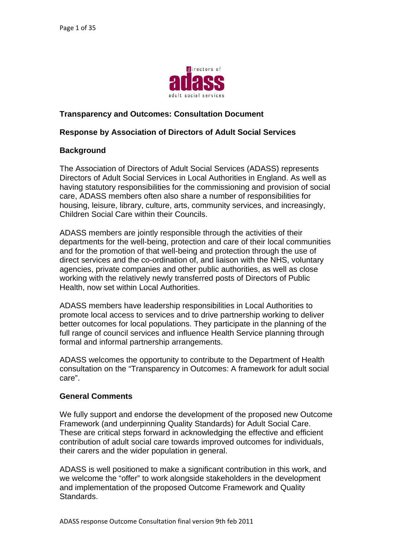

### **Transparency and Outcomes: Consultation Document**

#### **Response by Association of Directors of Adult Social Services**

#### **Background**

The Association of Directors of Adult Social Services (ADASS) represents Directors of Adult Social Services in Local Authorities in England. As well as having statutory responsibilities for the commissioning and provision of social care, ADASS members often also share a number of responsibilities for housing, leisure, library, culture, arts, community services, and increasingly, Children Social Care within their Councils.

ADASS members are jointly responsible through the activities of their departments for the well-being, protection and care of their local communities and for the promotion of that well-being and protection through the use of direct services and the co-ordination of, and liaison with the NHS, voluntary agencies, private companies and other public authorities, as well as close working with the relatively newly transferred posts of Directors of Public Health, now set within Local Authorities.

ADASS members have leadership responsibilities in Local Authorities to promote local access to services and to drive partnership working to deliver better outcomes for local populations. They participate in the planning of the full range of council services and influence Health Service planning through formal and informal partnership arrangements.

ADASS welcomes the opportunity to contribute to the Department of Health consultation on the "Transparency in Outcomes: A framework for adult social care".

#### **General Comments**

We fully support and endorse the development of the proposed new Outcome Framework (and underpinning Quality Standards) for Adult Social Care. These are critical steps forward in acknowledging the effective and efficient contribution of adult social care towards improved outcomes for individuals, their carers and the wider population in general.

ADASS is well positioned to make a significant contribution in this work, and we welcome the "offer" to work alongside stakeholders in the development and implementation of the proposed Outcome Framework and Quality Standards.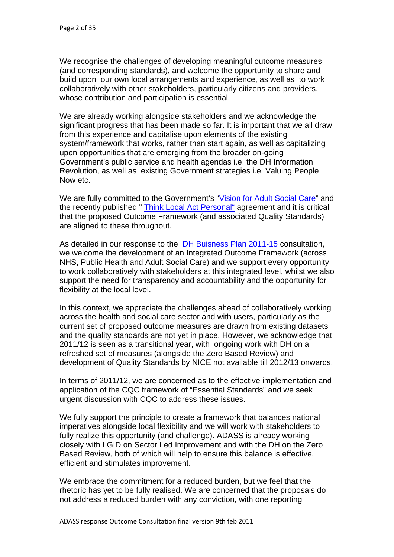We recognise the challenges of developing meaningful outcome measures (and corresponding standards), and welcome the opportunity to sh are and build upon our own local arrangements and experience, as well as to work collaboratively with other stakeholders, particularly citizens and providers, whose contribution and participation is essential.

We are already working alongside stakeholders and we acknowledge the significant progress that has been made so far. It is important that we all draw from this experience and capitalise upon elements of the existing system/framework that works, rather than start again, as well as capitalizing Government's public service and health agendas i.e. the DH Information Revolution, as well as existing Government strategies i.e. Valuing People upon opportunities that are emerging from the broader on-going Now etc.

We are fully committed to the Government's "Vision for Adult Social Care" and the recently published " Think Local Act Personal" agreement and it is critical that the proposed Outcome Framework (and associated Quality Standards) are aligned to these throughout.

As detailed in our response to the **DH Buisness Plan 2011-15** consultation, we welcome the development of an Integrated Outcome Framewor k (across NHS, Public Health and Adult Soc ial Care) and we support every opportunity to work collaboratively with stakeholders at this integrated level, whilst we also support the need for transparency and accountability and the opportunity for flexibility at the local level.

In this context, we appreciate the challenges ahead of collaboratively working across the health and social care sector and with users, particularly as the current set of proposed outcome measures are drawn from existing datasets and the quality standards are not yet in place. However, we acknowledge that 2011/12 is seen as a transitional year, with ongoing work with DH on a refreshed set of measures (alongside the Zero Based Review) and development of Quality Standards by NICE not available till 2012/13 onwards.

In terms of 2011/12, we are concerned as to the effective implementation and application of the CQC framework of "Essential Standards" and we seek urgent discussion with CQC to address these issues.

We fully support the principle to create a framework that balances national imperatives alongside local flexibility and we will work with stakeholders to fully realize this opportunity (and challenge). ADASS is already working closely with LGID on Sector Led Improvement and with the DH on the Zero Based Review, both of which will help to ensure this balance is effective, efficient and stimulates improvement.

We embrace the commitment for a reduced burden, but we feel that the rhetoric has yet to be fully realised. We are concerned that the proposals do not address a reduced burden with any conviction, with one reporting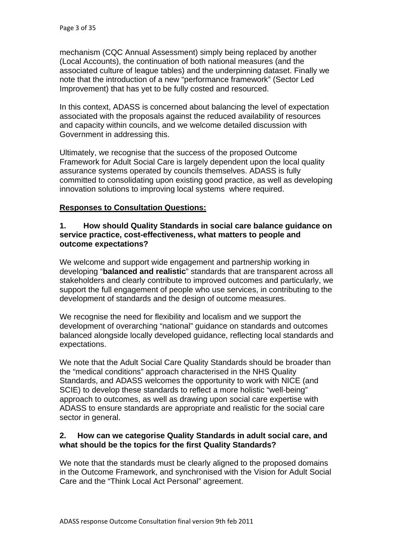mechanism (CQC Annual Assessment) simply being replaced b y another (Local Accounts), the continuation of both national measures (and t he associated culture of league tables) and the underpinning datas et. Finally we note that the introduction of a new "performance fram ework" (Sector Led Improvement) that has yet to be fully costed and resourced.

In this context, ADASS is concerned about balancing the level of expectation associated with the proposals against the reduced availability of resources and capacity within councils, and we welcome detailed discussion with Government in addressing this.

Ultimately, we recognise that the success of the proposed Outcome Framework for Adult Social Care is largely dependent upon the local quality assurance systems operated by councils themselves. ADASS is fully committed to consolidating upon existing good practice, as well as developing innovation solutions to improving local systems where required.

## **Responses to Consultation Questions:**

#### **1. How should Quality Standards in social care balance guidance on service practice, cost-effectiveness, what matters to people and outcome expectations?**

We welcome and support wide engagement and partnership working in developing "**balanced and realistic**" standards that are transparent across all stakeholders and clearly contribute to improved outcomes and particularly, we support the full engagement of people who use services, in contributing to the development of standards and the design of outcome measures.

We recognise the need for flexibility and localism and we support the development of overarching "national" guidance on standards and outcomes balanced alongside locally developed guidance, reflecting local standards and expectations.

We note that the Adult Social Care Quality Standards should be broader than the "medical conditions" approach characterised in the NHS Quality SCIE) to develop these standards to reflect a more holistic "well-being" approach to outcomes, as well as drawing upon social care expertise with ADASS to ensure standards are appropriate and realistic for the social care Standards, and ADASS welcomes the opportunity to work with NICE (and sector in general.

#### **2. How can we categorise Quality Standards in adult social care, and what should be the topics for the first Quality Standards?**

We note that the standards must be clearly aligned to the proposed domains in the Outcome Framework, and synchronised with the Vision for Adult Social Care and the "Think Local Act Personal" agreement.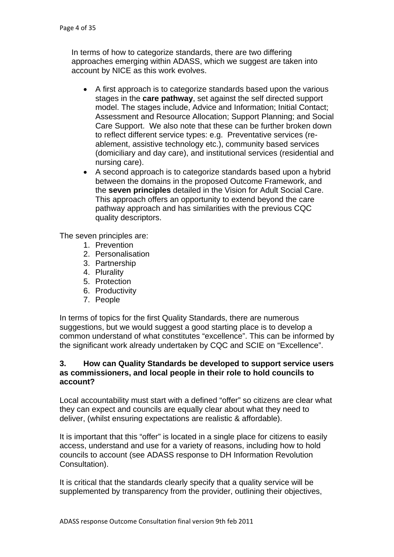In terms of how to categorize standards, there are two differin g approaches emerging within ADA SS, which we suggest are taken into account by NICE as this work evolves.

- A first approach is to categorize standards based upon the various stages in the **care pathway**, set against the self directed support model. The stages include, Advice and Information; Initial Contact; Assessment and Resource Allocation; Support Planning; and Social Care Support. We also note that these can be further broken down to reflect different service types: e.g. Preventative services (reablement, assistive technology etc.), community based services (domiciliary and day care), and institutional services (residential and nursing care).
- A second approach is to categorize standards based upon a hybrid between the domains in the proposed Outcome Framework, and This approach offers an opportunity to extend beyond the care pathway approach and has similarities with the previous CQC quality descriptors. the **seven principles** detailed in the Vision for Adult Social Care.

The seven principles are:

- 1. Prevention
- 2. Personalisation
- 3. Partnership
- 4. Plurality
- 5. Protection
- 6. Productivity
- 7. People

suggestions, but we would suggest a good starting place is to develop a the significant work already undertaken by CQC and SCIE on "Excellence". In terms of topics for the first Quality Standards, there are numerous common understand of what constitutes "excellence". This can be informed by

#### 3. How can Quality Standards be developed to support service users as commissioners, and local people in their role to hold councils to **account?**

Local accountability must start with a defined "offer" so citizens are clear what they can expect and councils are equally clear about what they need to deliver, (whilst ensuring expectations are realistic & affordable).

It is important that this "offer" is located in a single place for citizens to easily access, understand and use for a variety of reasons, including how to hold councils to account (see ADASS response to DH Information Revolution Consultation).

It is critical that the standards clearly specify that a quality service will be supplemented by transparency from the provider, outlining their objectives,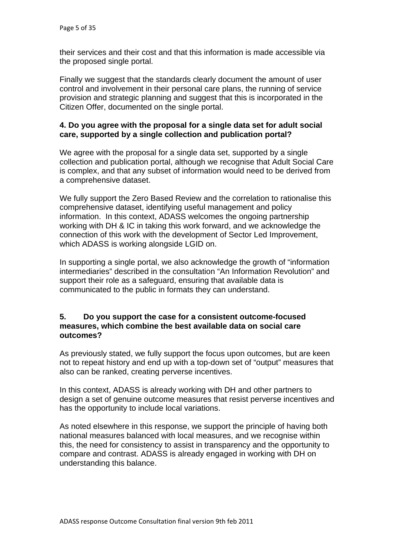their services and their cost and that this information is made accessible via the proposed single portal.

Finally we suggest that the standards clearly document the amount of user control and involvement in their personal care plans, the running of service provision and strategic planning and suggest that this is incorporated in the Citizen Offer, documented on the single portal.

## care, supported by a single collection and publication portal? **4. Do you agree with the proposal for a single data set for adult social**

We agree with the proposal for a single data set, supported by a single collection and publication portal, although we recognise that Adult Social Care is complex, and that any subset of information would need to be derived from a comprehensive dataset.

We fully support the Zero Based Review and the correlation to rationalise this comprehensive dataset, identifying useful management and policy information. In this context, ADASS welcomes the ongoing partnership working with DH & IC in taking this work forward, and we acknowledge the connection of this work with the development of Sector Led Improvement, which ADASS is working alongside LGID on.

In supporting a single portal, we also acknowledge the growth of "information intermediaries" described in the consultation "An Information Revolution" and support their role as a safeguard, ensuring that available data is communicated to the public in formats they can understand.

#### **d 5. Do you support the case for a consistent outcome-focuse measures, which combine the best available data on social care outcomes?**

As previously stated, we fully support the focus upon outcomes, but are keen not to repeat history and end up with a top-down set of "output" measures that also can be ranked, creating perverse incentives.

In this context, ADASS is already working with DH and other partners to design a set of genuine outcome measures that resist perverse incentives and has the opportunity to include local variations.

As noted elsewhere in this response, we support the principle of having both national measures balanced with local measures, and we recognise within this, the need for consistency to assist in transparency and the opportunity to compare and contrast. ADASS is already engaged in working with DH on understanding this balance.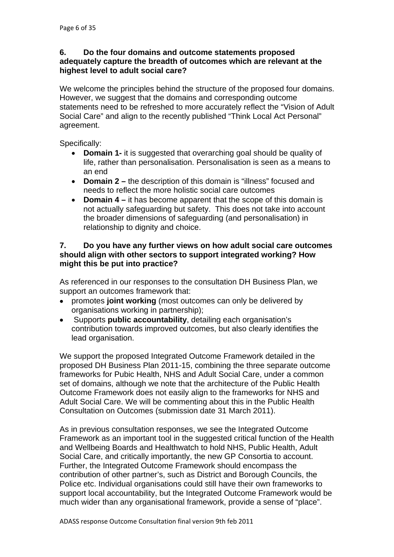#### **6. Do the four domains and outcome statements propose d**  adequately capture the breadth of outcomes which are relevant at the **highest level to adult social care?**

statements need to be refreshed to more accurately reflect the "Vision of Adult Social Care" and align to the recently published "Think Local Act Personal" agreement. We welcome the principles behind the structure of the proposed four domains. However, we suggest that the domains and corresponding outcome

Specifically:

- **Domain 1-** it is suggested that overarching goal should be quality of life, rather than personalisation. Personalisation is seen as a means to an end
- **Domain 2** the description of this domain is "illness" focused and needs to reflect the more holistic social care outcomes
- **Domain 4** it has become apparent that the scope of this domain is not actually safeguarding but safety. This does not take into account the broader dimensions of safeguarding (and personalisation) in relationship to dignity and choice.

#### 7. Do you have any further views on how adult social care outcomes should align with other sectors to support integrated working? How **might this be put into practice?**

As referenced in our responses to the consultation DH Business Plan, we support an outcomes framework that:

- promotes **joint working** (most outcomes can only be delivered by organisations working in partnership);
- contribution towards improved outcomes, but also clearly identifies the • Supports **public accountability**, detailing each organisation's lead organisation.

We support the proposed Integrated Outcome Framework detailed in the proposed DH Business Plan 2011-15, combining the three separate outcome set of domains, although we note that the architecture of the Public Health Adult Social Care. We will be commenting about this in the Public Health frameworks for Pubic Health, NHS and Adult Social Care, under a common Outcome Framework does not easily align to the frameworks for NHS and Consultation on Outcomes (submission date 31 March 2011).

As in previous consultation responses, we see the Integrated Outcome Framework as an important tool in the suggested critical function of the Health and Wellbeing Boards and Healthwatch to hold NHS, Public Health, Adult Social Care, and critically importantly, the new GP Consortia to account. Further, the Integrated Outcome Framework should encompass the contribution of other partner's, such as District and Borough Councils, the Police etc. Individual organisations could still have their own frameworks to support local accountability, but the Integrated Outcome Framework would be much wider than any organisational framework, provide a sense of "place".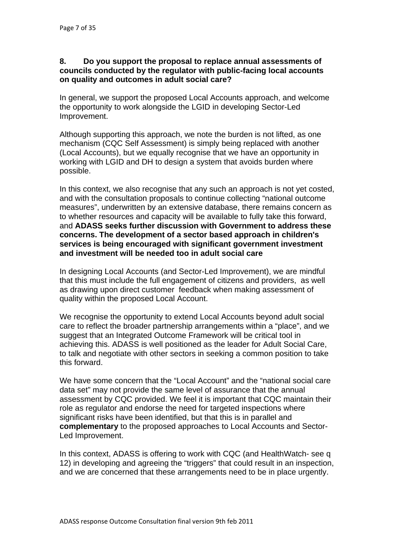#### **8. Do you support the proposal to replace annual assessm ents of councils conducted by the regulator with public-fac ing local accounts on quality and outcomes in adult social care?**

In general, we support the proposed Local Accounts approach, and welcome the opportunity to work alongside the LGID in developing Sector-Led Improvement.

Although supporting this approach, we note the burden is not lifted, as one mechanism (CQC Self Assessment) is simply being replaced with another (Local Accounts), but we equally recognise that we have an opportunity in working with LGID and DH to design a system that avoids burden where possible.

In this context, we also recognise that any such an approach is not yet costed, and with the consultation proposals to continue collecting "national outcome measures", underwritten by an extensive database, there remains concern as to whether resources and capacity will be available to fully take this forward, and **ADASS seeks further discussion with Government to address these** services is being encouraged with significant government investment **concerns. The development of a sector based approach in children's and investment will be needed too in adult social care**

In designing Local Accounts (and Sector-Led Improvement), we are mindful that this must include the full engagement of citizens and providers, as well as drawing upon direct customer feedback when making assessment of quality within the proposed Local Account.

We recognise the opportunity to extend Local Accounts beyond adult social care to reflect the broader partnership arrangements within a "place", and we suggest that an Integrated Outcome Framework will be critical tool in achieving this. ADASS is well positioned as the leader for Adult Social Care, to talk and negotiate with other sectors in seeking a common position to take this forward.

We have some concern that the "Local Account" and the "national social care data set" may not provide the same level of assurance that the annual assessment by CQC provided. We feel it is important that CQC maintain their role as regulator and endorse the need for targeted inspections where **complementary** to the proposed approaches to Local Accounts and Sector-Led Improvement. significant risks have been identified, but that this is in parallel and

In this context, ADASS is offering to work with CQC (and HealthWatch- see q 12) in developing and agreeing the "triggers" that could result in an inspection, and we are concerned that these arrangements need to be in place urgently.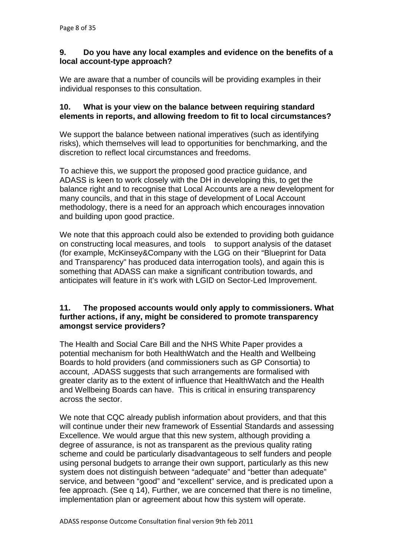## **9. Do you have any local examples and evidence on the benefits of a local account-type approach?**

We are aware that a number of councils will be providing examples in their individual responses to this consultation.

## 10. What is your view on the balance between requiring standard **mstances? elements in reports, and allowing freedom to fit to local circu**

We support the balance between national imperatives (such as identifying risks), which themselves will lead to opportunities for benchmarking, and the discretion to reflect local circumstances and freedoms.

To achieve this, we support the proposed good practice guidance, and ADASS is keen to work closely with the DH in developing this, to get the methodology, there is a need for an approach which encourages innovation balance right and to recognise that Local Accounts are a new development for many councils, and that in this stage of development of Local Account and building upon good practice.

We note that this approach could also be extended to providing both guidance on constructing local measures, and tools to support analysis of the dataset (for example, McKinsey&Company with the LGG on their "Blueprint for Data and Transparency" has produced data interrogation tools), and again this is something that ADASS can make a significant contribution towards, and anticipates will feature in it's work with LGID on Sector-Led Improvement.

#### 11. The proposed accounts would only apply to commissioners. What further actions, if any, might be considered to promote transparency **amongst service providers?**

The Health and Social Care Bill and the NHS White Paper provides a potential mechanism for both HealthWatch and the Health and Wellbeing Boards to hold providers (and commissioners such as GP Consortia) to account, .ADASS suggests that such arrangements are formalised with greater clarity as to the extent of influence that HealthWatch and the Health and Wellbeing Boards can have. This is critical in ensuring transparency across the sector.

We note that CQC already publish information about providers, and that this will continue under their new framework of Essential Standards and assessing Excellence. We would argue that this new system, although providing a degree of assurance, is not as transparent as the previous quality rating scheme and could be particularly disadvantageous to self funders and people using personal budgets to arrange their own support, particularly as this new system does not distinguish between "adequate" and "better than adequate" service, and between "good" and "excellent" service, and is predicated upon a fee approach. (See q 14), Further, we are concerned that there is no timeline, implementation plan or agreement about how this system will operate.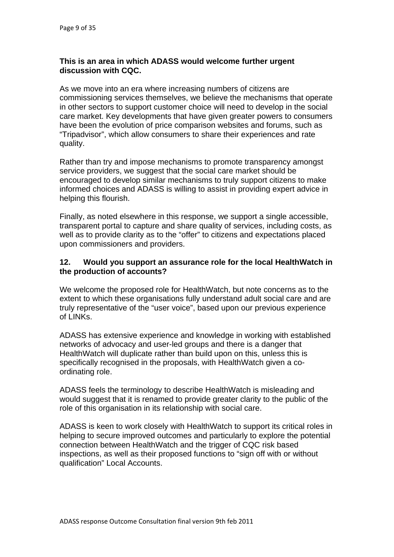#### **This is an area in which ADASS would welcome further urgent discussion with CQC.**

commissioning services themselves, we believe the mechanisms that operate in other sectors to support customer choice will need to develop in the social care market. Key developments that have given greater powers to consumers "Tripadvisor", which allow consumers to share their experiences and rate As we move into an era where increasing numbers of citizens are have been the evolution of price comparison websites and forums, such as quality.

Rather than try and impose mechanisms to promote transparency amongst encouraged to develop similar mechanisms to truly support citizens to make informed choices and ADASS is willing to assist in providing expert advice in service providers, we suggest that the social care market should be helping this flourish.

Finally, as noted elsewhere in this response, we support a single accessible, transparent portal to capture and share quality of services, including costs, as well as to provide clarity as to the "offer" to citizens and expectations placed upon commissioners and providers.

### 12. Would you support an assurance role for the local HealthWatch in **the production of accounts?**

We welcome the proposed role for HealthWatch, but note concerns as to the truly representative of the "user voice", based upon our previous experience extent to which these organisations fully understand adult social care and are of LINKs.

ADASS has extensive experience and knowledge in working with established networks of advocacy and user-led groups and there is a danger that HealthWatch will duplicate rather than build upon on this, unless this is specifically recognised in the proposals, with HealthWatch given a coordinating role.

ADASS feels the terminology to describe HealthWatch is misleading and would suggest that it is renamed to provide greater clarity to the public of the role of this organisation in its relationship with social care.

ADASS is keen to work closely with HealthWatch to support its critical roles in helping to secure improved outcomes and particularly to explore the potential connection between HealthWatch and the trigger of CQC risk based inspections, as well as their proposed functions to "sign off with or without qualification" Local Accounts.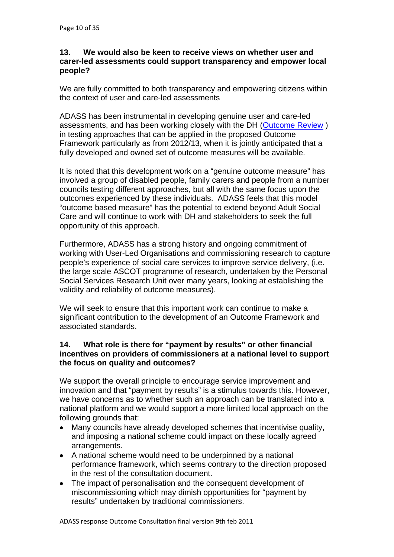#### 13. We would also be keen to receive views on whether user and **carer-l ed assessments could support transparency and empower local people?**

We are fully committed to both transparency and empowering citizens within the context of user and care-led assessments

ADASS has been instrumental in developing genuine user and care-led assessments, and has been working closely with the DH ([Outcom](http://www.puttingpeoplefirst.org.uk/_library/Resources/Personalisation/Personalisation_advice/OutcomeFocusedReviews2.pdf)e Review) [in testing approaches that can be applied in the proposed Outc](http://www.puttingpeoplefirst.org.uk/_library/Resources/Personalisation/Personalisation_advice/OutcomeFocusedReviews2.pdf)ome Framework particularly as from 2012/13, when it is jointly anticipated that a fully developed and owned set of outcome measures will be available.

It is noted that this development work on a "genuine outcome measure" has involved a group of disabled people, family carers and people from a number councils testing different approaches, but all with the same focus upon the "outcome based measure" has the potential to extend beyond Adult Social Care and will continue to work with DH and stakeholders to seek the full outcomes experienced by these individuals. ADASS feels that this model opportunity of this approach.

Furthermore, ADASS has a strong history and ongoing commitment of working with User-Led Organisations and commissioning research to capture people's experience of social care services to improve service delivery, (i.e. the large scale ASCOT programme of research, undertaken by the Personal Social Services Research Unit over many years, looking at establishing the validity and reliability of outcome measures).

We will seek to ensure that this important work can continue to make a significant contribution to the development of an Outcome Framework and associated standards.

## 14. What role is there for "payment by results" or other financial incentives on providers of commissioners at a national level to support **the focus on quality and outcomes?**

We support the overall principle to encourage service improvement and innovation and that "payment by results" is a stimulus towards this. However, we have concerns as to whether such an approach can be translated into a national platform and we would support a more limited local approach on the following grounds that:

- Many councils have already developed schemes that incentivise quality, and imposing a national scheme could impact on these locally agreed arrangements.
- A national scheme would need to be underpinned by a national performance framework, which seems contrary to the direction proposed in the rest of the consultation document.
- The impact of personalisation and the consequent development of miscommissioning which may dimish opportunities for "payment by results" undertaken by traditional commissioners.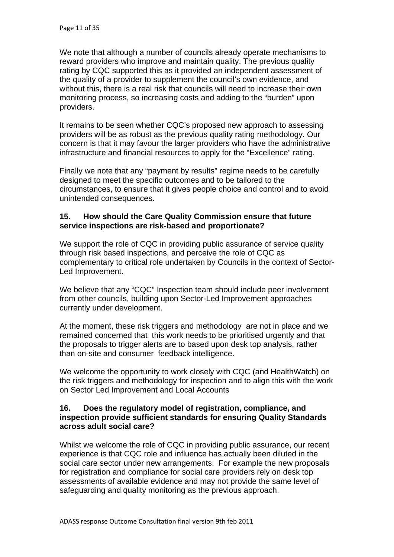We note that although a number of councils already operate mech anisms to reward providers who improve and maintain quality. The previous quality rating by CQC supported this as it provided an independent as sessment of the quality of a provider to supplement the council's own evidence , and without this, there is a real risk that councils will need to increas e their own monitorin g process, so increasing costs and adding to the "burden" upon providers.

It remains to be seen whether CQC's proposed new approach to assessing providers will be as robust as the previous quality rating methodology. Our concern is that it may favour the larger providers who have the administrative infrastructure and financial resources to apply for the "Excellence" rating.

Finally we note that any "payment by results" regime needs to be carefully designed to meet the specific outcomes and to be tailored to the circumstances, to ensure that it gives people choice and control and to avoid unintended consequences.

## 15. How should the Care Quality Commission ensure that future **? service inspections are risk-based and proportionate**

We support the role of CQC in providing public assurance of service quality complementary to critical role undertaken by Councils in the context of Sectorthrough risk based inspections, and perceive the role of CQC as Led Improvement.

We believe that any "CQC" Inspection team should include peer involvement from other councils, building upon Sector-Led Improvement approaches currently under development.

At the moment, these risk triggers and methodology are not in place and we remained concerned that this work needs to be prioritised urgently and that the proposals to trigger alerts are to based upon desk top analysis, rather than on-site and consumer feedback intelligence.

We welcome the opportunity to work closely with CQC (and HealthWatch) on the risk triggers and methodology for inspection and to align this with the work on Sector Led Improvement and Local Accounts

#### 16. Does the regulatory model of registration, compliance, and **inspection provide sufficient standards for ensuring Quality Standards across adult social care?**

Whilst we welcome the role of CQC in providing public assurance, our recent experience is that CQC role and influence has actually been diluted in the social care sector under new arrangements. For example the new proposals for registration and compliance for social care providers rely on desk top assessments of available evidence and may not provide the same level of safeguarding and quality monitoring as the previous approach.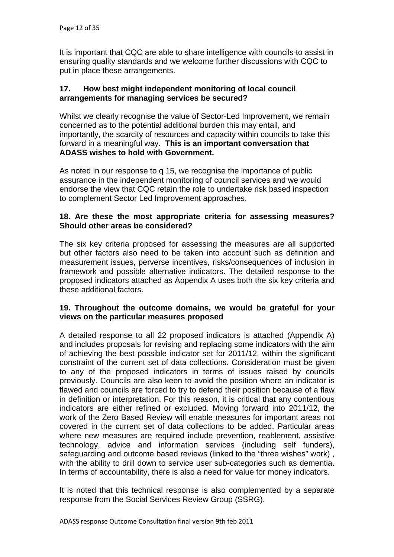It is important that CQC are able to share intelligence with councils to assist in ensuring quality standards and we welcome further discussions with CQC to put in place these arrangements.

#### 17. How best might independent monitoring of local council **arrangements for managing services be secured?**

Whilst we clearly recognise the value of Sector-Led Improvement, we remain importantly, the scarcity of resources and capacity within councils to take this forward in a meaningful way. **This is an important conversation that**  concerned as to the potential additional burden this may entail, and **ADASS wishes to hold with Government.** 

As noted in our response to q 15, we recognise the importance of public assurance in the independent monitoring of council services and we would endorse the view that CQC retain the role to undertake risk based inspection to complement Sector Led Improvement approaches.

### 18. Are these the most appropriate criteria for assessing measures? **Should other areas be considered?**

The six key criteria proposed for assessing the measures are all supported but other factors also need to be taken into account such as definition and measurement issues, perverse incentives, risks/consequences of inclusion in framework and possible alternative indicators. The detailed response to the proposed indicators attached as Appendix A uses both the six key criteria and these additional factors.

#### 19. Throughout the outcome domains, we would be grateful for your **views on the particular measures proposed**

A detailed response to all 22 proposed indicators is attached (Appendix A) and includes proposals for revising and replacing some indicators with the aim of achieving the best possible indicator set for 2011/12, within the significant constraint of the current set of data collections. Consideration must be given to any of the proposed indicators in terms of issues raised by councils previously. Councils are also keen to avoid the position where an indicator is flawed and councils are forced to try to defend their position because of a flaw in definition or interpretation. For this reason, it is critical that any contentious indicators are either refined or excluded. Moving forward into 2011/12, the work of the Zero Based Review will enable measures for important areas not covered in the current set of data collections to be added. Particular areas where new measures are required include prevention, reablement, assistive technology, advice and information services (including self funders), safeguarding and outcome based reviews (linked to the "three wishes" work) , with the ability to drill down to service user sub-categories such as dementia. In terms of accountability, there is also a need for value for money indicators.

It is noted that this technical response is also complemented by a separate response from the Social Services Review Group (SSRG).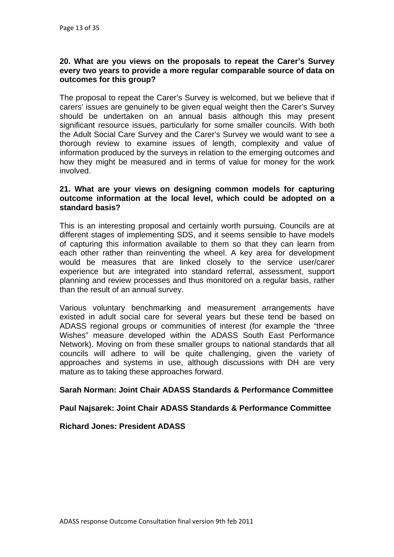#### **20. What are you views on the proposals to repeat the Carer' s Survey every two years to provide a more regul ar comparable source of data on outcomes for this group?**

The proposal to repeat the Carer's Survey is welcomed, but we believe that if carers' issues are genuinely to be given equal weight then the Carer's Survey should be undertaken on an annual basis although this may present significant resource issues, particularly for some smaller councils. With both the Adult Social Care Survey and the Carer's Survey we would want to see a thorough review to examine issues of length, complexity and value of information produced by the surveys in relation to the emerging outcomes and how they might be measured and in terms of value for money for the work involved.

#### 21. What are your views on designing common models for capturing outcome information at the local level, which could be adopted on a **standard basis?**

This is an interesting proposal and certainly worth pursuing. Councils are at different stages of implementing SDS, and it seems sensible to have models of capturing this information available to them so that they can learn from each other rather than reinventing the wheel. A key area for development would be measures that are linked closely to the service user/carer experience but are integrated into standard referral, assessment, support planning and review processes and thus monitored on a regular basis, rather than the result of an annual survey.

Various voluntary benchmarking and measurement arrangements have existed in adult social care for several years but these tend be based on ADASS regional groups or communities of interest (for example the "three Network). Moving on from these smaller groups to national standards that all councils will adhere to will be quite challenging, given the variety of approaches and systems in use, although discussions with DH are very mature as to taking these approaches forward. Wishes" measure developed within the ADASS South East Performance

#### **Sarah Norman: Joint Chair ADASS Standards & Performance Committee**

#### **Paul Najsarek: Joint Chair ADASS Standards & Performance Committee**

#### **Richard Jones: President ADASS**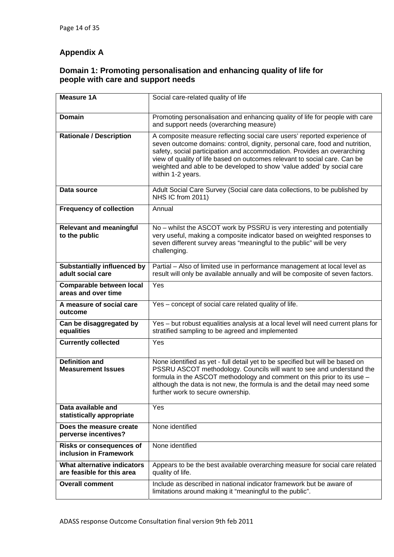# **Appendix A**

#### **Domain 1: Promoting personalisation and enhancing quality of life for people with care and support needs**

| <b>Measure 1A</b>                                         | Social care-related quality of life                                                                                                                                                                                                                                                                                                                                                                            |
|-----------------------------------------------------------|----------------------------------------------------------------------------------------------------------------------------------------------------------------------------------------------------------------------------------------------------------------------------------------------------------------------------------------------------------------------------------------------------------------|
| <b>Domain</b>                                             | Promoting personalisation and enhancing quality of life for people with care<br>and support needs (overarching measure)                                                                                                                                                                                                                                                                                        |
| <b>Rationale / Description</b>                            | A composite measure reflecting social care users' reported experience of<br>seven outcome domains: control, dignity, personal care, food and nutrition,<br>safety, social participation and accommodation. Provides an overarching<br>view of quality of life based on outcomes relevant to social care. Can be<br>weighted and able to be developed to show 'value added' by social care<br>within 1-2 years. |
| Data source                                               | Adult Social Care Survey (Social care data collections, to be published by<br>NHS IC from 2011)                                                                                                                                                                                                                                                                                                                |
| <b>Frequency of collection</b>                            | Annual                                                                                                                                                                                                                                                                                                                                                                                                         |
| <b>Relevant and meaningful</b><br>to the public           | No - whilst the ASCOT work by PSSRU is very interesting and potentially<br>very useful, making a composite indicator based on weighted responses to<br>seven different survey areas "meaningful to the public" will be very<br>challenging.                                                                                                                                                                    |
| <b>Substantially influenced by</b><br>adult social care   | Partial - Also of limited use in performance management at local level as<br>result will only be available annually and will be composite of seven factors.                                                                                                                                                                                                                                                    |
| Comparable between local<br>areas and over time           | Yes                                                                                                                                                                                                                                                                                                                                                                                                            |
| A measure of social care<br>outcome                       | Yes - concept of social care related quality of life.                                                                                                                                                                                                                                                                                                                                                          |
| Can be disaggregated by<br>equalities                     | Yes - but robust equalities analysis at a local level will need current plans for<br>stratified sampling to be agreed and implemented                                                                                                                                                                                                                                                                          |
| <b>Currently collected</b>                                | Yes                                                                                                                                                                                                                                                                                                                                                                                                            |
| <b>Definition and</b><br><b>Measurement Issues</b>        | None identified as yet - full detail yet to be specified but will be based on<br>PSSRU ASCOT methodology. Councils will want to see and understand the<br>formula in the ASCOT methodology and comment on this prior to its use -<br>although the data is not new, the formula is and the detail may need some<br>further work to secure ownership.                                                            |
| Data available and<br>statistically appropriate           | Yes                                                                                                                                                                                                                                                                                                                                                                                                            |
| Does the measure create<br>perverse incentives?           | None identified                                                                                                                                                                                                                                                                                                                                                                                                |
| <b>Risks or consequences of</b><br>inclusion in Framework | None identified                                                                                                                                                                                                                                                                                                                                                                                                |
| What alternative indicators<br>are feasible for this area | Appears to be the best available overarching measure for social care related<br>quality of life.                                                                                                                                                                                                                                                                                                               |
| <b>Overall comment</b>                                    | Include as described in national indicator framework but be aware of<br>limitations around making it "meaningful to the public".                                                                                                                                                                                                                                                                               |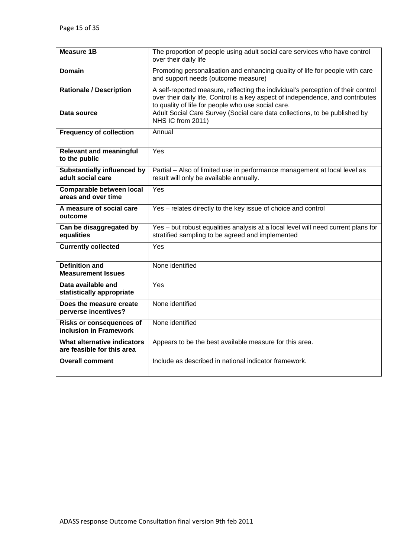| <b>Measure 1B</b>                                         | The proportion of people using adult social care services who have control<br>over their daily life                                                                                                                       |
|-----------------------------------------------------------|---------------------------------------------------------------------------------------------------------------------------------------------------------------------------------------------------------------------------|
| <b>Domain</b>                                             | Promoting personalisation and enhancing quality of life for people with care<br>and support needs (outcome measure)                                                                                                       |
| <b>Rationale / Description</b>                            | A self-reported measure, reflecting the individual's perception of their control<br>over their daily life. Control is a key aspect of independence, and contributes<br>to quality of life for people who use social care. |
| Data source                                               | Adult Social Care Survey (Social care data collections, to be published by<br>NHS IC from 2011)                                                                                                                           |
| <b>Frequency of collection</b>                            | Annual                                                                                                                                                                                                                    |
| <b>Relevant and meaningful</b><br>to the public           | Yes                                                                                                                                                                                                                       |
| <b>Substantially influenced by</b><br>adult social care   | Partial - Also of limited use in performance management at local level as<br>result will only be available annually.                                                                                                      |
| <b>Comparable between local</b><br>areas and over time    | Yes                                                                                                                                                                                                                       |
| A measure of social care<br>outcome                       | Yes - relates directly to the key issue of choice and control                                                                                                                                                             |
| Can be disaggregated by<br>equalities                     | Yes - but robust equalities analysis at a local level will need current plans for<br>stratified sampling to be agreed and implemented                                                                                     |
| <b>Currently collected</b>                                | Yes                                                                                                                                                                                                                       |
| <b>Definition and</b><br><b>Measurement Issues</b>        | None identified                                                                                                                                                                                                           |
| Data available and<br>statistically appropriate           | Yes                                                                                                                                                                                                                       |
| Does the measure create<br>perverse incentives?           | None identified                                                                                                                                                                                                           |
| <b>Risks or consequences of</b><br>inclusion in Framework | None identified                                                                                                                                                                                                           |
| What alternative indicators<br>are feasible for this area | Appears to be the best available measure for this area.                                                                                                                                                                   |
| <b>Overall comment</b>                                    | Include as described in national indicator framework.                                                                                                                                                                     |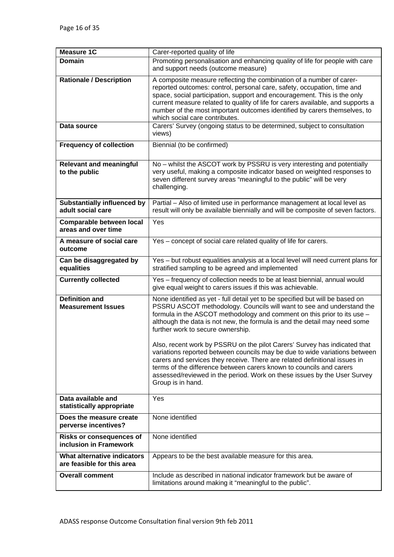| <b>Measure 1C</b>                                         | Carer-reported quality of life                                                                                                                                                                                                                                                                                                                                                                                                                                                                                                                                                                                                                                                                                                                                       |
|-----------------------------------------------------------|----------------------------------------------------------------------------------------------------------------------------------------------------------------------------------------------------------------------------------------------------------------------------------------------------------------------------------------------------------------------------------------------------------------------------------------------------------------------------------------------------------------------------------------------------------------------------------------------------------------------------------------------------------------------------------------------------------------------------------------------------------------------|
| <b>Domain</b>                                             | Promoting personalisation and enhancing quality of life for people with care<br>and support needs (outcome measure)                                                                                                                                                                                                                                                                                                                                                                                                                                                                                                                                                                                                                                                  |
| <b>Rationale / Description</b>                            | A composite measure reflecting the combination of a number of carer-<br>reported outcomes: control, personal care, safety, occupation, time and<br>space, social participation, support and encouragement. This is the only<br>current measure related to quality of life for carers available, and supports a<br>number of the most important outcomes identified by carers themselves, to<br>which social care contributes.                                                                                                                                                                                                                                                                                                                                        |
| Data source                                               | Carers' Survey (ongoing status to be determined, subject to consultation<br>views)                                                                                                                                                                                                                                                                                                                                                                                                                                                                                                                                                                                                                                                                                   |
| <b>Frequency of collection</b>                            | Biennial (to be confirmed)                                                                                                                                                                                                                                                                                                                                                                                                                                                                                                                                                                                                                                                                                                                                           |
| <b>Relevant and meaningful</b><br>to the public           | No – whilst the ASCOT work by PSSRU is very interesting and potentially<br>very useful, making a composite indicator based on weighted responses to<br>seven different survey areas "meaningful to the public" will be very<br>challenging.                                                                                                                                                                                                                                                                                                                                                                                                                                                                                                                          |
| <b>Substantially influenced by</b><br>adult social care   | Partial - Also of limited use in performance management at local level as<br>result will only be available biennially and will be composite of seven factors.                                                                                                                                                                                                                                                                                                                                                                                                                                                                                                                                                                                                        |
| <b>Comparable between local</b><br>areas and over time    | Yes                                                                                                                                                                                                                                                                                                                                                                                                                                                                                                                                                                                                                                                                                                                                                                  |
| A measure of social care<br>outcome                       | Yes - concept of social care related quality of life for carers.                                                                                                                                                                                                                                                                                                                                                                                                                                                                                                                                                                                                                                                                                                     |
| Can be disaggregated by<br>equalities                     | Yes - but robust equalities analysis at a local level will need current plans for<br>stratified sampling to be agreed and implemented                                                                                                                                                                                                                                                                                                                                                                                                                                                                                                                                                                                                                                |
| <b>Currently collected</b>                                | Yes - frequency of collection needs to be at least biennial, annual would<br>give equal weight to carers issues if this was achievable.                                                                                                                                                                                                                                                                                                                                                                                                                                                                                                                                                                                                                              |
| <b>Definition and</b><br><b>Measurement Issues</b>        | None identified as yet - full detail yet to be specified but will be based on<br>PSSRU ASCOT methodology. Councils will want to see and understand the<br>formula in the ASCOT methodology and comment on this prior to its use -<br>although the data is not new, the formula is and the detail may need some<br>further work to secure ownership.<br>Also, recent work by PSSRU on the pilot Carers' Survey has indicated that<br>variations reported between councils may be due to wide variations between<br>carers and services they receive. There are related definitional issues in<br>terms of the difference between carers known to councils and carers<br>assessed/reviewed in the period. Work on these issues by the User Survey<br>Group is in hand. |
| Data available and<br>statistically appropriate           | Yes                                                                                                                                                                                                                                                                                                                                                                                                                                                                                                                                                                                                                                                                                                                                                                  |
| Does the measure create<br>perverse incentives?           | None identified                                                                                                                                                                                                                                                                                                                                                                                                                                                                                                                                                                                                                                                                                                                                                      |
| <b>Risks or consequences of</b><br>inclusion in Framework | None identified                                                                                                                                                                                                                                                                                                                                                                                                                                                                                                                                                                                                                                                                                                                                                      |
| What alternative indicators<br>are feasible for this area | Appears to be the best available measure for this area.                                                                                                                                                                                                                                                                                                                                                                                                                                                                                                                                                                                                                                                                                                              |
| <b>Overall comment</b>                                    | Include as described in national indicator framework but be aware of<br>limitations around making it "meaningful to the public".                                                                                                                                                                                                                                                                                                                                                                                                                                                                                                                                                                                                                                     |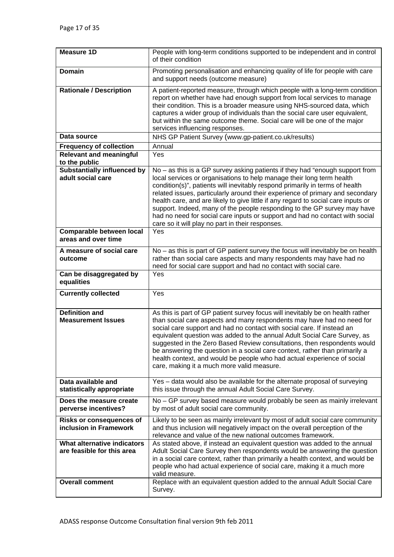| <b>Measure 1D</b>                                                                   | People with long-term conditions supported to be independent and in control<br>of their condition                                                                                                                                                                                                                                                                                                                                                                                                                                                                                                                           |
|-------------------------------------------------------------------------------------|-----------------------------------------------------------------------------------------------------------------------------------------------------------------------------------------------------------------------------------------------------------------------------------------------------------------------------------------------------------------------------------------------------------------------------------------------------------------------------------------------------------------------------------------------------------------------------------------------------------------------------|
| <b>Domain</b>                                                                       | Promoting personalisation and enhancing quality of life for people with care<br>and support needs (outcome measure)                                                                                                                                                                                                                                                                                                                                                                                                                                                                                                         |
| <b>Rationale / Description</b>                                                      | A patient-reported measure, through which people with a long-term condition<br>report on whether have had enough support from local services to manage<br>their condition. This is a broader measure using NHS-sourced data, which<br>captures a wider group of individuals than the social care user equivalent,<br>but within the same outcome theme. Social care will be one of the major<br>services influencing responses.                                                                                                                                                                                             |
| Data source                                                                         | NHS GP Patient Survey (www.gp-patient.co.uk/results)                                                                                                                                                                                                                                                                                                                                                                                                                                                                                                                                                                        |
| <b>Frequency of collection</b>                                                      | Annual                                                                                                                                                                                                                                                                                                                                                                                                                                                                                                                                                                                                                      |
| <b>Relevant and meaningful</b><br>to the public                                     | Yes                                                                                                                                                                                                                                                                                                                                                                                                                                                                                                                                                                                                                         |
| <b>Substantially influenced by</b><br>adult social care                             | No – as this is a GP survey asking patients if they had "enough support from<br>local services or organisations to help manage their long term health<br>condition(s)", patients will inevitably respond primarily in terms of health<br>related issues, particularly around their experience of primary and secondary<br>health care, and are likely to give little if any regard to social care inputs or<br>support. Indeed, many of the people responding to the GP survey may have<br>had no need for social care inputs or support and had no contact with social<br>care so it will play no part in their responses. |
| <b>Comparable between local</b><br>areas and over time                              | Yes                                                                                                                                                                                                                                                                                                                                                                                                                                                                                                                                                                                                                         |
| A measure of social care<br>outcome                                                 | No - as this is part of GP patient survey the focus will inevitably be on health<br>rather than social care aspects and many respondents may have had no<br>need for social care support and had no contact with social care.                                                                                                                                                                                                                                                                                                                                                                                               |
| Can be disaggregated by<br>equalities                                               | Yes                                                                                                                                                                                                                                                                                                                                                                                                                                                                                                                                                                                                                         |
| <b>Currently collected</b>                                                          | Yes                                                                                                                                                                                                                                                                                                                                                                                                                                                                                                                                                                                                                         |
| <b>Definition and</b>                                                               | As this is part of GP patient survey focus will inevitably be on health rather                                                                                                                                                                                                                                                                                                                                                                                                                                                                                                                                              |
| <b>Measurement Issues</b>                                                           | than social care aspects and many respondents may have had no need for<br>social care support and had no contact with social care. If instead an<br>equivalent question was added to the annual Adult Social Care Survey, as<br>suggested in the Zero Based Review consultations, then respondents would<br>be answering the question in a social care context, rather than primarily a<br>health context, and would be people who had actual experience of social<br>care, making it a much more valid measure.                                                                                                            |
| Data available and<br>statistically appropriate                                     | Yes - data would also be available for the alternate proposal of surveying<br>this issue through the annual Adult Social Care Survey.                                                                                                                                                                                                                                                                                                                                                                                                                                                                                       |
| Does the measure create<br>perverse incentives?                                     | No - GP survey based measure would probably be seen as mainly irrelevant<br>by most of adult social care community.                                                                                                                                                                                                                                                                                                                                                                                                                                                                                                         |
| <b>Risks or consequences of</b><br>inclusion in Framework                           | Likely to be seen as mainly irrelevant by most of adult social care community<br>and thus inclusion will negatively impact on the overall perception of the<br>relevance and value of the new national outcomes framework.                                                                                                                                                                                                                                                                                                                                                                                                  |
| What alternative indicators<br>are feasible for this area<br><b>Overall comment</b> | As stated above, if instead an equivalent question was added to the annual<br>Adult Social Care Survey then respondents would be answering the question<br>in a social care context, rather than primarily a health context, and would be<br>people who had actual experience of social care, making it a much more<br>valid measure.<br>Replace with an equivalent question added to the annual Adult Social Care                                                                                                                                                                                                          |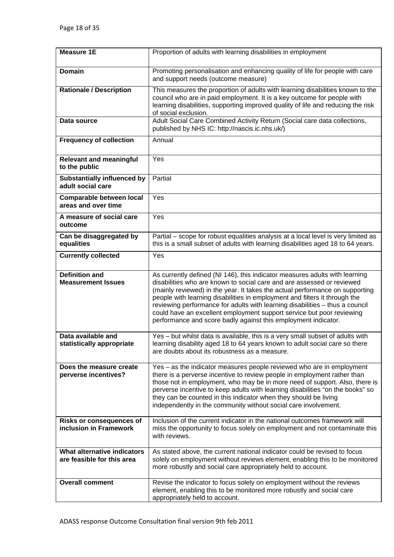| <b>Measure 1E</b>                                         | Proportion of adults with learning disabilities in employment                                                                                                                                                                                                                                                                                                                                                                                                                                                                                  |
|-----------------------------------------------------------|------------------------------------------------------------------------------------------------------------------------------------------------------------------------------------------------------------------------------------------------------------------------------------------------------------------------------------------------------------------------------------------------------------------------------------------------------------------------------------------------------------------------------------------------|
| <b>Domain</b>                                             | Promoting personalisation and enhancing quality of life for people with care<br>and support needs (outcome measure)                                                                                                                                                                                                                                                                                                                                                                                                                            |
| <b>Rationale / Description</b>                            | This measures the proportion of adults with learning disabilities known to the<br>council who are in paid employment. It is a key outcome for people with<br>learning disabilities, supporting improved quality of life and reducing the risk<br>of social exclusion.                                                                                                                                                                                                                                                                          |
| Data source                                               | Adult Social Care Combined Activity Return (Social care data collections,<br>published by NHS IC: http://nascis.ic.nhs.uk/)                                                                                                                                                                                                                                                                                                                                                                                                                    |
| <b>Frequency of collection</b>                            | Annual                                                                                                                                                                                                                                                                                                                                                                                                                                                                                                                                         |
| <b>Relevant and meaningful</b><br>to the public           | Yes                                                                                                                                                                                                                                                                                                                                                                                                                                                                                                                                            |
| <b>Substantially influenced by</b><br>adult social care   | Partial                                                                                                                                                                                                                                                                                                                                                                                                                                                                                                                                        |
| Comparable between local<br>areas and over time           | Yes                                                                                                                                                                                                                                                                                                                                                                                                                                                                                                                                            |
| A measure of social care<br>outcome                       | Yes                                                                                                                                                                                                                                                                                                                                                                                                                                                                                                                                            |
| Can be disaggregated by<br>equalities                     | Partial – scope for robust equalities analysis at a local level is very limited as<br>this is a small subset of adults with learning disabilities aged 18 to 64 years.                                                                                                                                                                                                                                                                                                                                                                         |
| <b>Currently collected</b>                                | Yes                                                                                                                                                                                                                                                                                                                                                                                                                                                                                                                                            |
| <b>Definition and</b><br><b>Measurement Issues</b>        | As currently defined (NI 146), this indicator measures adults with learning<br>disabilities who are known to social care and are assessed or reviewed<br>(mainly reviewed) in the year. It takes the actual performance on supporting<br>people with learning disabilities in employment and filters it through the<br>reviewing performance for adults with learning disabilities - thus a council<br>could have an excellent employment support service but poor reviewing<br>performance and score badly against this employment indicator. |
| Data available and<br>statistically appropriate           | Yes - but whilst data is available, this is a very small subset of adults with<br>learning disability aged 18 to 64 years known to adult social care so there<br>are doubts about its robustness as a measure.                                                                                                                                                                                                                                                                                                                                 |
| Does the measure create<br>perverse incentives?           | Yes – as the indicator measures people reviewed who are in employment<br>there is a perverse incentive to review people in employment rather than<br>those not in employment, who may be in more need of support. Also, there is<br>perverse incentive to keep adults with learning disabilities "on the books" so<br>they can be counted in this indicator when they should be living<br>independently in the community without social care involvement.                                                                                      |
| <b>Risks or consequences of</b><br>inclusion in Framework | Inclusion of the current indicator in the national outcomes framework will<br>miss the opportunity to focus solely on employment and not contaminate this<br>with reviews.                                                                                                                                                                                                                                                                                                                                                                     |
| What alternative indicators<br>are feasible for this area | As stated above, the current national indicator could be revised to focus<br>solely on employment without reviews element, enabling this to be monitored<br>more robustly and social care appropriately held to account.                                                                                                                                                                                                                                                                                                                       |
| <b>Overall comment</b>                                    | Revise the indicator to focus solely on employment without the reviews<br>element, enabling this to be monitored more robustly and social care<br>appropriately held to account.                                                                                                                                                                                                                                                                                                                                                               |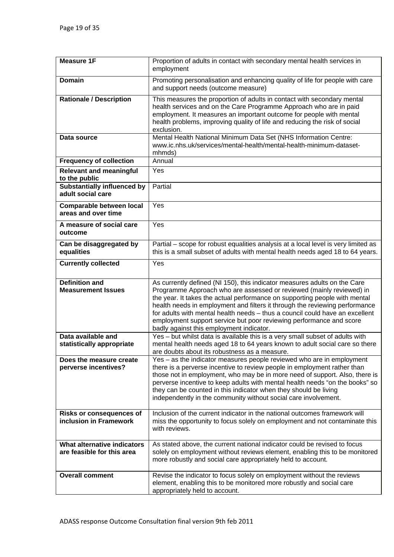| <b>Measure 1F</b>                                         | Proportion of adults in contact with secondary mental health services in<br>employment                                                                                                                                                                                                                                                                                                                                                                                                                            |
|-----------------------------------------------------------|-------------------------------------------------------------------------------------------------------------------------------------------------------------------------------------------------------------------------------------------------------------------------------------------------------------------------------------------------------------------------------------------------------------------------------------------------------------------------------------------------------------------|
| <b>Domain</b>                                             | Promoting personalisation and enhancing quality of life for people with care<br>and support needs (outcome measure)                                                                                                                                                                                                                                                                                                                                                                                               |
| <b>Rationale / Description</b>                            | This measures the proportion of adults in contact with secondary mental<br>health services and on the Care Programme Approach who are in paid<br>employment. It measures an important outcome for people with mental<br>health problems, improving quality of life and reducing the risk of social<br>exclusion.                                                                                                                                                                                                  |
| Data source                                               | Mental Health National Minimum Data Set (NHS Information Centre:<br>www.ic.nhs.uk/services/mental-health/mental-health-minimum-dataset-<br>mhmds)                                                                                                                                                                                                                                                                                                                                                                 |
| <b>Frequency of collection</b>                            | Annual                                                                                                                                                                                                                                                                                                                                                                                                                                                                                                            |
| <b>Relevant and meaningful</b><br>to the public           | Yes                                                                                                                                                                                                                                                                                                                                                                                                                                                                                                               |
| <b>Substantially influenced by</b><br>adult social care   | Partial                                                                                                                                                                                                                                                                                                                                                                                                                                                                                                           |
| Comparable between local<br>areas and over time           | Yes                                                                                                                                                                                                                                                                                                                                                                                                                                                                                                               |
| A measure of social care<br>outcome                       | Yes                                                                                                                                                                                                                                                                                                                                                                                                                                                                                                               |
| Can be disaggregated by<br>equalities                     | Partial – scope for robust equalities analysis at a local level is very limited as<br>this is a small subset of adults with mental health needs aged 18 to 64 years.                                                                                                                                                                                                                                                                                                                                              |
| <b>Currently collected</b>                                | Yes                                                                                                                                                                                                                                                                                                                                                                                                                                                                                                               |
| <b>Definition and</b><br><b>Measurement Issues</b>        | As currently defined (NI 150), this indicator measures adults on the Care<br>Programme Approach who are assessed or reviewed (mainly reviewed) in<br>the year. It takes the actual performance on supporting people with mental<br>health needs in employment and filters it through the reviewing performance<br>for adults with mental health needs - thus a council could have an excellent<br>employment support service but poor reviewing performance and score<br>badly against this employment indicator. |
| Data available and<br>statistically appropriate           | Yes - but whilst data is available this is a very small subset of adults with<br>mental health needs aged 18 to 64 years known to adult social care so there<br>are doubts about its robustness as a measure.                                                                                                                                                                                                                                                                                                     |
| Does the measure create<br>perverse incentives?           | Yes – as the indicator measures people reviewed who are in employment<br>there is a perverse incentive to review people in employment rather than<br>those not in employment, who may be in more need of support. Also, there is<br>perverse incentive to keep adults with mental health needs "on the books" so<br>they can be counted in this indicator when they should be living<br>independently in the community without social care involvement.                                                           |
| <b>Risks or consequences of</b><br>inclusion in Framework | Inclusion of the current indicator in the national outcomes framework will<br>miss the opportunity to focus solely on employment and not contaminate this<br>with reviews.                                                                                                                                                                                                                                                                                                                                        |
| What alternative indicators<br>are feasible for this area | As stated above, the current national indicator could be revised to focus<br>solely on employment without reviews element, enabling this to be monitored<br>more robustly and social care appropriately held to account.                                                                                                                                                                                                                                                                                          |
| <b>Overall comment</b>                                    | Revise the indicator to focus solely on employment without the reviews<br>element, enabling this to be monitored more robustly and social care<br>appropriately held to account.                                                                                                                                                                                                                                                                                                                                  |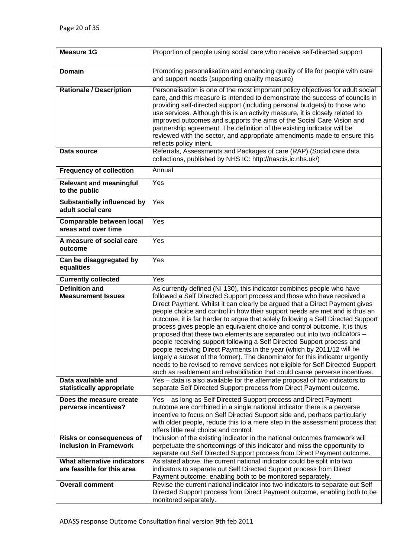| <b>Measure 1G</b>                                         | Proportion of people using social care who receive self-directed support                                                                                                                                                                                                                                                                                                                                                                                                                                                                                                                                                                                                                                                                                                                                                                                                                                                                                        |
|-----------------------------------------------------------|-----------------------------------------------------------------------------------------------------------------------------------------------------------------------------------------------------------------------------------------------------------------------------------------------------------------------------------------------------------------------------------------------------------------------------------------------------------------------------------------------------------------------------------------------------------------------------------------------------------------------------------------------------------------------------------------------------------------------------------------------------------------------------------------------------------------------------------------------------------------------------------------------------------------------------------------------------------------|
| <b>Domain</b>                                             | Promoting personalisation and enhancing quality of life for people with care<br>and support needs (supporting quality measure)                                                                                                                                                                                                                                                                                                                                                                                                                                                                                                                                                                                                                                                                                                                                                                                                                                  |
| <b>Rationale / Description</b>                            | Personalisation is one of the most important policy objectives for adult social<br>care, and this measure is intended to demonstrate the success of councils in<br>providing self-directed support (including personal budgets) to those who<br>use services. Although this is an activity measure, it is closely related to<br>improved outcomes and supports the aims of the Social Care Vision and<br>partnership agreement. The definition of the existing indicator will be<br>reviewed with the sector, and appropriate amendments made to ensure this<br>reflects policy intent.                                                                                                                                                                                                                                                                                                                                                                         |
| Data source                                               | Referrals, Assessments and Packages of care (RAP) (Social care data<br>collections, published by NHS IC: http://nascis.ic.nhs.uk/)                                                                                                                                                                                                                                                                                                                                                                                                                                                                                                                                                                                                                                                                                                                                                                                                                              |
| <b>Frequency of collection</b>                            | Annual                                                                                                                                                                                                                                                                                                                                                                                                                                                                                                                                                                                                                                                                                                                                                                                                                                                                                                                                                          |
| <b>Relevant and meaningful</b><br>to the public           | Yes                                                                                                                                                                                                                                                                                                                                                                                                                                                                                                                                                                                                                                                                                                                                                                                                                                                                                                                                                             |
| <b>Substantially influenced by</b><br>adult social care   | Yes                                                                                                                                                                                                                                                                                                                                                                                                                                                                                                                                                                                                                                                                                                                                                                                                                                                                                                                                                             |
| <b>Comparable between local</b><br>areas and over time    | Yes                                                                                                                                                                                                                                                                                                                                                                                                                                                                                                                                                                                                                                                                                                                                                                                                                                                                                                                                                             |
| A measure of social care<br>outcome                       | Yes                                                                                                                                                                                                                                                                                                                                                                                                                                                                                                                                                                                                                                                                                                                                                                                                                                                                                                                                                             |
| Can be disaggregated by<br>equalities                     | Yes                                                                                                                                                                                                                                                                                                                                                                                                                                                                                                                                                                                                                                                                                                                                                                                                                                                                                                                                                             |
|                                                           |                                                                                                                                                                                                                                                                                                                                                                                                                                                                                                                                                                                                                                                                                                                                                                                                                                                                                                                                                                 |
| <b>Currently collected</b>                                | Yes                                                                                                                                                                                                                                                                                                                                                                                                                                                                                                                                                                                                                                                                                                                                                                                                                                                                                                                                                             |
| <b>Definition and</b><br><b>Measurement Issues</b>        | As currently defined (NI 130), this indicator combines people who have<br>followed a Self Directed Support process and those who have received a<br>Direct Payment. Whilst it can clearly be argued that a Direct Payment gives<br>people choice and control in how their support needs are met and is thus an<br>outcome, it is far harder to argue that solely following a Self Directed Support<br>process gives people an equivalent choice and control outcome. It is thus<br>proposed that these two elements are separated out into two indicators -<br>people receiving support following a Self Directed Support process and<br>people receiving Direct Payments in the year (which by 2011/12 will be<br>largely a subset of the former). The denominator for this indicator urgently<br>needs to be revised to remove services not eligible for Self Directed Support<br>such as reablement and rehabilitation that could cause perverse incentives. |
| Data available and<br>statistically appropriate           | Yes - data is also available for the alternate proposal of two indicators to<br>separate Self Directed Support process from Direct Payment outcome.                                                                                                                                                                                                                                                                                                                                                                                                                                                                                                                                                                                                                                                                                                                                                                                                             |
| Does the measure create<br>perverse incentives?           | Yes – as long as Self Directed Support process and Direct Payment<br>outcome are combined in a single national indicator there is a perverse<br>incentive to focus on Self Directed Support side and, perhaps particularly<br>with older people, reduce this to a mere step in the assessment process that<br>offers little real choice and control.                                                                                                                                                                                                                                                                                                                                                                                                                                                                                                                                                                                                            |
| <b>Risks or consequences of</b><br>inclusion in Framework | Inclusion of the existing indicator in the national outcomes framework will<br>perpetuate the shortcomings of this indicator and miss the opportunity to                                                                                                                                                                                                                                                                                                                                                                                                                                                                                                                                                                                                                                                                                                                                                                                                        |
|                                                           | separate out Self Directed Support process from Direct Payment outcome.                                                                                                                                                                                                                                                                                                                                                                                                                                                                                                                                                                                                                                                                                                                                                                                                                                                                                         |
| What alternative indicators<br>are feasible for this area | As stated above, the current national indicator could be split into two<br>indicators to separate out Self Directed Support process from Direct<br>Payment outcome, enabling both to be monitored separately.                                                                                                                                                                                                                                                                                                                                                                                                                                                                                                                                                                                                                                                                                                                                                   |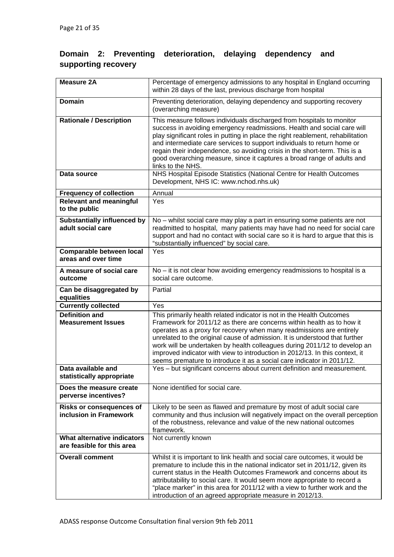# **Domain 2: Preventing deterioration, delaying dependency and supporting recovery**

| <b>Measure 2A</b>                                         | Percentage of emergency admissions to any hospital in England occurring<br>within 28 days of the last, previous discharge from hospital                                                                                                                                                                                                                                                                                                                                                                                                       |
|-----------------------------------------------------------|-----------------------------------------------------------------------------------------------------------------------------------------------------------------------------------------------------------------------------------------------------------------------------------------------------------------------------------------------------------------------------------------------------------------------------------------------------------------------------------------------------------------------------------------------|
| <b>Domain</b>                                             | Preventing deterioration, delaying dependency and supporting recovery<br>(overarching measure)                                                                                                                                                                                                                                                                                                                                                                                                                                                |
| <b>Rationale / Description</b>                            | This measure follows individuals discharged from hospitals to monitor<br>success in avoiding emergency readmissions. Health and social care will<br>play significant roles in putting in place the right reablement, rehabilitation<br>and intermediate care services to support individuals to return home or<br>regain their independence, so avoiding crisis in the short-term. This is a<br>good overarching measure, since it captures a broad range of adults and<br>links to the NHS.                                                  |
| Data source                                               | NHS Hospital Episode Statistics (National Centre for Health Outcomes<br>Development, NHS IC: www.nchod.nhs.uk)                                                                                                                                                                                                                                                                                                                                                                                                                                |
| <b>Frequency of collection</b>                            | Annual                                                                                                                                                                                                                                                                                                                                                                                                                                                                                                                                        |
| <b>Relevant and meaningful</b><br>to the public           | Yes                                                                                                                                                                                                                                                                                                                                                                                                                                                                                                                                           |
| <b>Substantially influenced by</b><br>adult social care   | No - whilst social care may play a part in ensuring some patients are not<br>readmitted to hospital, many patients may have had no need for social care<br>support and had no contact with social care so it is hard to argue that this is<br>"substantially influenced" by social care.                                                                                                                                                                                                                                                      |
| Comparable between local<br>areas and over time           | Yes                                                                                                                                                                                                                                                                                                                                                                                                                                                                                                                                           |
| A measure of social care<br>outcome                       | No – it is not clear how avoiding emergency readmissions to hospital is a<br>social care outcome.                                                                                                                                                                                                                                                                                                                                                                                                                                             |
| Can be disaggregated by<br>equalities                     | Partial                                                                                                                                                                                                                                                                                                                                                                                                                                                                                                                                       |
| <b>Currently collected</b>                                | Yes                                                                                                                                                                                                                                                                                                                                                                                                                                                                                                                                           |
| <b>Definition and</b><br><b>Measurement Issues</b>        | This primarily health related indicator is not in the Health Outcomes<br>Framework for 2011/12 as there are concerns within health as to how it<br>operates as a proxy for recovery when many readmissions are entirely<br>unrelated to the original cause of admission. It is understood that further<br>work will be undertaken by health colleagues during 2011/12 to develop an<br>improved indicator with view to introduction in 2012/13. In this context, it<br>seems premature to introduce it as a social care indicator in 2011/12. |
| Data available and<br>statistically appropriate           | Yes - but significant concerns about current definition and measurement.                                                                                                                                                                                                                                                                                                                                                                                                                                                                      |
| Does the measure create<br>perverse incentives?           | None identified for social care.                                                                                                                                                                                                                                                                                                                                                                                                                                                                                                              |
| <b>Risks or consequences of</b>                           | Likely to be seen as flawed and premature by most of adult social care                                                                                                                                                                                                                                                                                                                                                                                                                                                                        |
| inclusion in Framework                                    | community and thus inclusion will negatively impact on the overall perception<br>of the robustness, relevance and value of the new national outcomes<br>framework.                                                                                                                                                                                                                                                                                                                                                                            |
| What alternative indicators<br>are feasible for this area | Not currently known                                                                                                                                                                                                                                                                                                                                                                                                                                                                                                                           |
| <b>Overall comment</b>                                    | Whilst it is important to link health and social care outcomes, it would be<br>premature to include this in the national indicator set in 2011/12, given its<br>current status in the Health Outcomes Framework and concerns about its<br>attributability to social care. It would seem more appropriate to record a<br>"place marker" in this area for 2011/12 with a view to further work and the<br>introduction of an agreed appropriate measure in 2012/13.                                                                              |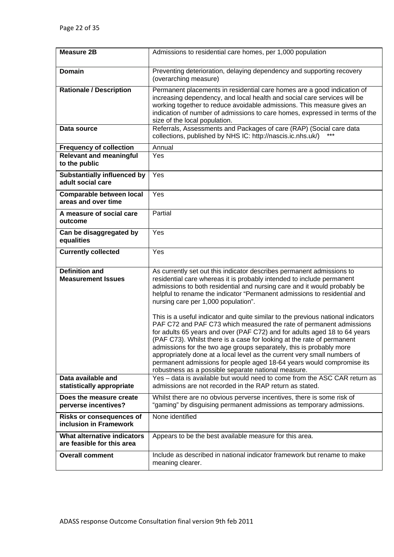| <b>Measure 2B</b>                                         | Admissions to residential care homes, per 1,000 population                                                                                                                                                                                                                                                                                                                                                                                                                                                                                                                                                                                                                                                                                                                                                                                                                                                                                         |
|-----------------------------------------------------------|----------------------------------------------------------------------------------------------------------------------------------------------------------------------------------------------------------------------------------------------------------------------------------------------------------------------------------------------------------------------------------------------------------------------------------------------------------------------------------------------------------------------------------------------------------------------------------------------------------------------------------------------------------------------------------------------------------------------------------------------------------------------------------------------------------------------------------------------------------------------------------------------------------------------------------------------------|
| Domain                                                    | Preventing deterioration, delaying dependency and supporting recovery<br>(overarching measure)                                                                                                                                                                                                                                                                                                                                                                                                                                                                                                                                                                                                                                                                                                                                                                                                                                                     |
| <b>Rationale / Description</b>                            | Permanent placements in residential care homes are a good indication of<br>increasing dependency, and local health and social care services will be<br>working together to reduce avoidable admissions. This measure gives an<br>indication of number of admissions to care homes, expressed in terms of the<br>size of the local population.                                                                                                                                                                                                                                                                                                                                                                                                                                                                                                                                                                                                      |
| Data source                                               | Referrals, Assessments and Packages of care (RAP) (Social care data<br>collections, published by NHS IC: http://nascis.ic.nhs.uk/)                                                                                                                                                                                                                                                                                                                                                                                                                                                                                                                                                                                                                                                                                                                                                                                                                 |
| <b>Frequency of collection</b>                            | Annual                                                                                                                                                                                                                                                                                                                                                                                                                                                                                                                                                                                                                                                                                                                                                                                                                                                                                                                                             |
| <b>Relevant and meaningful</b><br>to the public           | Yes                                                                                                                                                                                                                                                                                                                                                                                                                                                                                                                                                                                                                                                                                                                                                                                                                                                                                                                                                |
| <b>Substantially influenced by</b><br>adult social care   | Yes                                                                                                                                                                                                                                                                                                                                                                                                                                                                                                                                                                                                                                                                                                                                                                                                                                                                                                                                                |
| Comparable between local<br>areas and over time           | Yes                                                                                                                                                                                                                                                                                                                                                                                                                                                                                                                                                                                                                                                                                                                                                                                                                                                                                                                                                |
| A measure of social care<br>outcome                       | Partial                                                                                                                                                                                                                                                                                                                                                                                                                                                                                                                                                                                                                                                                                                                                                                                                                                                                                                                                            |
| Can be disaggregated by<br>equalities                     | Yes                                                                                                                                                                                                                                                                                                                                                                                                                                                                                                                                                                                                                                                                                                                                                                                                                                                                                                                                                |
| <b>Currently collected</b>                                | Yes                                                                                                                                                                                                                                                                                                                                                                                                                                                                                                                                                                                                                                                                                                                                                                                                                                                                                                                                                |
| <b>Definition and</b><br><b>Measurement Issues</b>        | As currently set out this indicator describes permanent admissions to<br>residential care whereas it is probably intended to include permanent<br>admissions to both residential and nursing care and it would probably be<br>helpful to rename the indicator "Permanent admissions to residential and<br>nursing care per 1,000 population".<br>This is a useful indicator and quite similar to the previous national indicators<br>PAF C72 and PAF C73 which measured the rate of permanent admissions<br>for adults 65 years and over (PAF C72) and for adults aged 18 to 64 years<br>(PAF C73). Whilst there is a case for looking at the rate of permanent<br>admissions for the two age groups separately, this is probably more<br>appropriately done at a local level as the current very small numbers of<br>permanent admissions for people aged 18-64 years would compromise its<br>robustness as a possible separate national measure. |
| Data available and<br>statistically appropriate           | Yes - data is available but would need to come from the ASC CAR return as<br>admissions are not recorded in the RAP return as stated.                                                                                                                                                                                                                                                                                                                                                                                                                                                                                                                                                                                                                                                                                                                                                                                                              |
| Does the measure create<br>perverse incentives?           | Whilst there are no obvious perverse incentives, there is some risk of<br>"gaming" by disguising permanent admissions as temporary admissions.                                                                                                                                                                                                                                                                                                                                                                                                                                                                                                                                                                                                                                                                                                                                                                                                     |
| <b>Risks or consequences of</b><br>inclusion in Framework | None identified                                                                                                                                                                                                                                                                                                                                                                                                                                                                                                                                                                                                                                                                                                                                                                                                                                                                                                                                    |
| What alternative indicators<br>are feasible for this area | Appears to be the best available measure for this area.                                                                                                                                                                                                                                                                                                                                                                                                                                                                                                                                                                                                                                                                                                                                                                                                                                                                                            |
| <b>Overall comment</b>                                    | Include as described in national indicator framework but rename to make<br>meaning clearer.                                                                                                                                                                                                                                                                                                                                                                                                                                                                                                                                                                                                                                                                                                                                                                                                                                                        |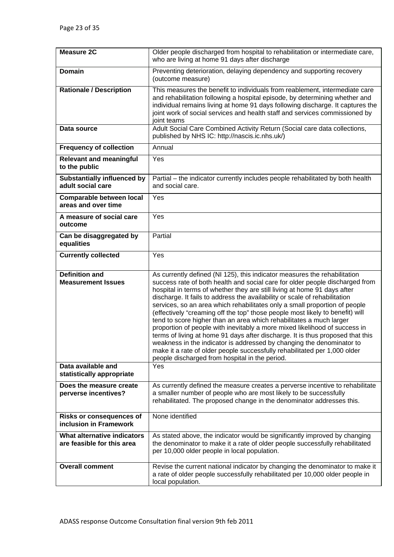| <b>Measure 2C</b>                                         | Older people discharged from hospital to rehabilitation or intermediate care,<br>who are living at home 91 days after discharge                                                                                                                                                                                                                                                                                                                                                                                                                                                                                                                                                                                                                                                                                                                                                                                                   |
|-----------------------------------------------------------|-----------------------------------------------------------------------------------------------------------------------------------------------------------------------------------------------------------------------------------------------------------------------------------------------------------------------------------------------------------------------------------------------------------------------------------------------------------------------------------------------------------------------------------------------------------------------------------------------------------------------------------------------------------------------------------------------------------------------------------------------------------------------------------------------------------------------------------------------------------------------------------------------------------------------------------|
| <b>Domain</b>                                             | Preventing deterioration, delaying dependency and supporting recovery<br>(outcome measure)                                                                                                                                                                                                                                                                                                                                                                                                                                                                                                                                                                                                                                                                                                                                                                                                                                        |
| <b>Rationale / Description</b>                            | This measures the benefit to individuals from reablement, intermediate care<br>and rehabilitation following a hospital episode, by determining whether and<br>individual remains living at home 91 days following discharge. It captures the<br>joint work of social services and health staff and services commissioned by<br>joint teams                                                                                                                                                                                                                                                                                                                                                                                                                                                                                                                                                                                        |
| Data source                                               | Adult Social Care Combined Activity Return (Social care data collections,<br>published by NHS IC: http://nascis.ic.nhs.uk/)                                                                                                                                                                                                                                                                                                                                                                                                                                                                                                                                                                                                                                                                                                                                                                                                       |
| <b>Frequency of collection</b>                            | Annual                                                                                                                                                                                                                                                                                                                                                                                                                                                                                                                                                                                                                                                                                                                                                                                                                                                                                                                            |
| <b>Relevant and meaningful</b><br>to the public           | Yes                                                                                                                                                                                                                                                                                                                                                                                                                                                                                                                                                                                                                                                                                                                                                                                                                                                                                                                               |
| <b>Substantially influenced by</b><br>adult social care   | Partial - the indicator currently includes people rehabilitated by both health<br>and social care.                                                                                                                                                                                                                                                                                                                                                                                                                                                                                                                                                                                                                                                                                                                                                                                                                                |
| Comparable between local<br>areas and over time           | Yes                                                                                                                                                                                                                                                                                                                                                                                                                                                                                                                                                                                                                                                                                                                                                                                                                                                                                                                               |
| A measure of social care<br>outcome                       | Yes                                                                                                                                                                                                                                                                                                                                                                                                                                                                                                                                                                                                                                                                                                                                                                                                                                                                                                                               |
| Can be disaggregated by<br>equalities                     | Partial                                                                                                                                                                                                                                                                                                                                                                                                                                                                                                                                                                                                                                                                                                                                                                                                                                                                                                                           |
| <b>Currently collected</b>                                | Yes                                                                                                                                                                                                                                                                                                                                                                                                                                                                                                                                                                                                                                                                                                                                                                                                                                                                                                                               |
| <b>Definition and</b><br><b>Measurement Issues</b>        | As currently defined (NI 125), this indicator measures the rehabilitation<br>success rate of both health and social care for older people discharged from<br>hospital in terms of whether they are still living at home 91 days after<br>discharge. It fails to address the availability or scale of rehabilitation<br>services, so an area which rehabilitates only a small proportion of people<br>(effectively "creaming off the top" those people most likely to benefit) will<br>tend to score higher than an area which rehabilitates a much larger<br>proportion of people with inevitably a more mixed likelihood of success in<br>terms of living at home 91 days after discharge. It is thus proposed that this<br>weakness in the indicator is addressed by changing the denominator to<br>make it a rate of older people successfully rehabilitated per 1,000 older<br>people discharged from hospital in the period. |
| Data available and<br>statistically appropriate           | Yes                                                                                                                                                                                                                                                                                                                                                                                                                                                                                                                                                                                                                                                                                                                                                                                                                                                                                                                               |
| Does the measure create<br>perverse incentives?           | As currently defined the measure creates a perverse incentive to rehabilitate<br>a smaller number of people who are most likely to be successfully<br>rehabilitated. The proposed change in the denominator addresses this.                                                                                                                                                                                                                                                                                                                                                                                                                                                                                                                                                                                                                                                                                                       |
| <b>Risks or consequences of</b><br>inclusion in Framework | None identified                                                                                                                                                                                                                                                                                                                                                                                                                                                                                                                                                                                                                                                                                                                                                                                                                                                                                                                   |
| What alternative indicators<br>are feasible for this area | As stated above, the indicator would be significantly improved by changing<br>the denominator to make it a rate of older people successfully rehabilitated<br>per 10,000 older people in local population.                                                                                                                                                                                                                                                                                                                                                                                                                                                                                                                                                                                                                                                                                                                        |
| <b>Overall comment</b>                                    | Revise the current national indicator by changing the denominator to make it<br>a rate of older people successfully rehabilitated per 10,000 older people in<br>local population.                                                                                                                                                                                                                                                                                                                                                                                                                                                                                                                                                                                                                                                                                                                                                 |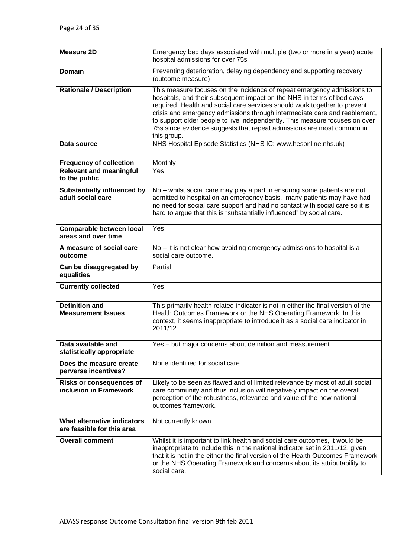| <b>Measure 2D</b>                                         | Emergency bed days associated with multiple (two or more in a year) acute<br>hospital admissions for over 75s                                                                                                                                                                                                                                                                                                                                                                                                                                        |
|-----------------------------------------------------------|------------------------------------------------------------------------------------------------------------------------------------------------------------------------------------------------------------------------------------------------------------------------------------------------------------------------------------------------------------------------------------------------------------------------------------------------------------------------------------------------------------------------------------------------------|
| <b>Domain</b>                                             | Preventing deterioration, delaying dependency and supporting recovery<br>(outcome measure)                                                                                                                                                                                                                                                                                                                                                                                                                                                           |
| <b>Rationale / Description</b><br>Data source             | This measure focuses on the incidence of repeat emergency admissions to<br>hospitals, and their subsequent impact on the NHS in terms of bed days<br>required. Health and social care services should work together to prevent<br>crisis and emergency admissions through intermediate care and reablement,<br>to support older people to live independently. This measure focuses on over<br>75s since evidence suggests that repeat admissions are most common in<br>this group.<br>NHS Hospital Episode Statistics (NHS IC: www.hesonline.nhs.uk) |
|                                                           |                                                                                                                                                                                                                                                                                                                                                                                                                                                                                                                                                      |
| <b>Frequency of collection</b>                            | Monthly                                                                                                                                                                                                                                                                                                                                                                                                                                                                                                                                              |
| <b>Relevant and meaningful</b><br>to the public           | Yes                                                                                                                                                                                                                                                                                                                                                                                                                                                                                                                                                  |
| <b>Substantially influenced by</b><br>adult social care   | No – whilst social care may play a part in ensuring some patients are not<br>admitted to hospital on an emergency basis, many patients may have had<br>no need for social care support and had no contact with social care so it is<br>hard to argue that this is "substantially influenced" by social care.                                                                                                                                                                                                                                         |
| <b>Comparable between local</b><br>areas and over time    | Yes                                                                                                                                                                                                                                                                                                                                                                                                                                                                                                                                                  |
| A measure of social care<br>outcome                       | No – it is not clear how avoiding emergency admissions to hospital is a<br>social care outcome.                                                                                                                                                                                                                                                                                                                                                                                                                                                      |
| Can be disaggregated by<br>equalities                     | Partial                                                                                                                                                                                                                                                                                                                                                                                                                                                                                                                                              |
| <b>Currently collected</b>                                | Yes                                                                                                                                                                                                                                                                                                                                                                                                                                                                                                                                                  |
| <b>Definition and</b><br><b>Measurement Issues</b>        | This primarily health related indicator is not in either the final version of the<br>Health Outcomes Framework or the NHS Operating Framework. In this<br>context, it seems inappropriate to introduce it as a social care indicator in<br>2011/12.                                                                                                                                                                                                                                                                                                  |
| Data available and<br>statistically appropriate           | Yes – but major concerns about definition and measurement.                                                                                                                                                                                                                                                                                                                                                                                                                                                                                           |
| Does the measure create<br>perverse incentives?           | None identified for social care.                                                                                                                                                                                                                                                                                                                                                                                                                                                                                                                     |
| <b>Risks or consequences of</b><br>inclusion in Framework | Likely to be seen as flawed and of limited relevance by most of adult social<br>care community and thus inclusion will negatively impact on the overall<br>perception of the robustness, relevance and value of the new national<br>outcomes framework.                                                                                                                                                                                                                                                                                              |
| What alternative indicators<br>are feasible for this area | Not currently known                                                                                                                                                                                                                                                                                                                                                                                                                                                                                                                                  |
| <b>Overall comment</b>                                    | Whilst it is important to link health and social care outcomes, it would be<br>inappropriate to include this in the national indicator set in 2011/12, given<br>that it is not in the either the final version of the Health Outcomes Framework<br>or the NHS Operating Framework and concerns about its attributability to<br>social care.                                                                                                                                                                                                          |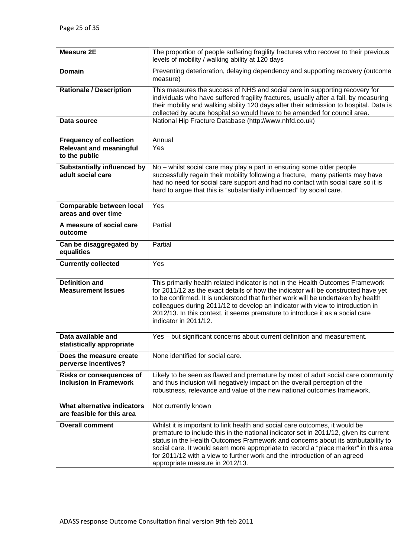| <b>Measure 2E</b>                                         | The proportion of people suffering fragility fractures who recover to their previous<br>levels of mobility / walking ability at 120 days                                                                                                                                                                                                                                                                                                                         |
|-----------------------------------------------------------|------------------------------------------------------------------------------------------------------------------------------------------------------------------------------------------------------------------------------------------------------------------------------------------------------------------------------------------------------------------------------------------------------------------------------------------------------------------|
| <b>Domain</b>                                             | Preventing deterioration, delaying dependency and supporting recovery (outcome<br>measure)                                                                                                                                                                                                                                                                                                                                                                       |
| <b>Rationale / Description</b>                            | This measures the success of NHS and social care in supporting recovery for<br>individuals who have suffered fragility fractures, usually after a fall, by measuring<br>their mobility and walking ability 120 days after their admission to hospital. Data is<br>collected by acute hospital so would have to be amended for council area.                                                                                                                      |
| Data source                                               | National Hip Fracture Database (http://www.nhfd.co.uk)                                                                                                                                                                                                                                                                                                                                                                                                           |
| <b>Frequency of collection</b>                            | Annual                                                                                                                                                                                                                                                                                                                                                                                                                                                           |
| <b>Relevant and meaningful</b><br>to the public           | Yes                                                                                                                                                                                                                                                                                                                                                                                                                                                              |
| <b>Substantially influenced by</b><br>adult social care   | No - whilst social care may play a part in ensuring some older people<br>successfully regain their mobility following a fracture, many patients may have<br>had no need for social care support and had no contact with social care so it is<br>hard to argue that this is "substantially influenced" by social care.                                                                                                                                            |
| Comparable between local<br>areas and over time           | Yes                                                                                                                                                                                                                                                                                                                                                                                                                                                              |
| A measure of social care<br>outcome                       | Partial                                                                                                                                                                                                                                                                                                                                                                                                                                                          |
| Can be disaggregated by<br>equalities                     | Partial                                                                                                                                                                                                                                                                                                                                                                                                                                                          |
| <b>Currently collected</b>                                | Yes                                                                                                                                                                                                                                                                                                                                                                                                                                                              |
| <b>Definition and</b><br><b>Measurement Issues</b>        | This primarily health related indicator is not in the Health Outcomes Framework<br>for 2011/12 as the exact details of how the indicator will be constructed have yet<br>to be confirmed. It is understood that further work will be undertaken by health<br>colleagues during 2011/12 to develop an indicator with view to introduction in<br>2012/13. In this context, it seems premature to introduce it as a social care<br>indicator in 2011/12.            |
| Data available and<br>statistically appropriate           | Yes - but significant concerns about current definition and measurement.                                                                                                                                                                                                                                                                                                                                                                                         |
| Does the measure create<br>perverse incentives?           | None identified for social care.                                                                                                                                                                                                                                                                                                                                                                                                                                 |
| <b>Risks or consequences of</b><br>inclusion in Framework | Likely to be seen as flawed and premature by most of adult social care community<br>and thus inclusion will negatively impact on the overall perception of the<br>robustness, relevance and value of the new national outcomes framework.                                                                                                                                                                                                                        |
| What alternative indicators<br>are feasible for this area | Not currently known                                                                                                                                                                                                                                                                                                                                                                                                                                              |
| <b>Overall comment</b>                                    | Whilst it is important to link health and social care outcomes, it would be<br>premature to include this in the national indicator set in 2011/12, given its current<br>status in the Health Outcomes Framework and concerns about its attributability to<br>social care. It would seem more appropriate to record a "place marker" in this area<br>for 2011/12 with a view to further work and the introduction of an agreed<br>appropriate measure in 2012/13. |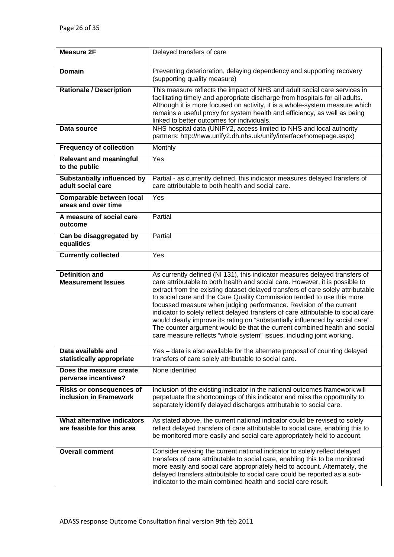| <b>Measure 2F</b>                                         | Delayed transfers of care                                                                                                                                                                                                                                                                                                                                                                                                                                                                                                                                                                                                                                                                                                   |
|-----------------------------------------------------------|-----------------------------------------------------------------------------------------------------------------------------------------------------------------------------------------------------------------------------------------------------------------------------------------------------------------------------------------------------------------------------------------------------------------------------------------------------------------------------------------------------------------------------------------------------------------------------------------------------------------------------------------------------------------------------------------------------------------------------|
|                                                           |                                                                                                                                                                                                                                                                                                                                                                                                                                                                                                                                                                                                                                                                                                                             |
| <b>Domain</b>                                             | Preventing deterioration, delaying dependency and supporting recovery<br>(supporting quality measure)                                                                                                                                                                                                                                                                                                                                                                                                                                                                                                                                                                                                                       |
| <b>Rationale / Description</b>                            | This measure reflects the impact of NHS and adult social care services in<br>facilitating timely and appropriate discharge from hospitals for all adults.<br>Although it is more focused on activity, it is a whole-system measure which<br>remains a useful proxy for system health and efficiency, as well as being<br>linked to better outcomes for individuals.                                                                                                                                                                                                                                                                                                                                                         |
| Data source                                               | NHS hospital data (UNIFY2, access limited to NHS and local authority<br>partners: http://nww.unify2.dh.nhs.uk/unify/interface/homepage.aspx)                                                                                                                                                                                                                                                                                                                                                                                                                                                                                                                                                                                |
| <b>Frequency of collection</b>                            | Monthly                                                                                                                                                                                                                                                                                                                                                                                                                                                                                                                                                                                                                                                                                                                     |
| <b>Relevant and meaningful</b><br>to the public           | Yes                                                                                                                                                                                                                                                                                                                                                                                                                                                                                                                                                                                                                                                                                                                         |
| <b>Substantially influenced by</b><br>adult social care   | Partial - as currently defined, this indicator measures delayed transfers of<br>care attributable to both health and social care.                                                                                                                                                                                                                                                                                                                                                                                                                                                                                                                                                                                           |
| <b>Comparable between local</b><br>areas and over time    | Yes                                                                                                                                                                                                                                                                                                                                                                                                                                                                                                                                                                                                                                                                                                                         |
| A measure of social care<br>outcome                       | Partial                                                                                                                                                                                                                                                                                                                                                                                                                                                                                                                                                                                                                                                                                                                     |
| Can be disaggregated by<br>equalities                     | Partial                                                                                                                                                                                                                                                                                                                                                                                                                                                                                                                                                                                                                                                                                                                     |
| <b>Currently collected</b>                                | Yes                                                                                                                                                                                                                                                                                                                                                                                                                                                                                                                                                                                                                                                                                                                         |
| <b>Definition and</b><br><b>Measurement Issues</b>        | As currently defined (NI 131), this indicator measures delayed transfers of<br>care attributable to both health and social care. However, it is possible to<br>extract from the existing dataset delayed transfers of care solely attributable<br>to social care and the Care Quality Commission tended to use this more<br>focussed measure when judging performance. Revision of the current<br>indicator to solely reflect delayed transfers of care attributable to social care<br>would clearly improve its rating on "substantially influenced by social care".<br>The counter argument would be that the current combined health and social<br>care measure reflects "whole system" issues, including joint working. |
| Data available and<br>statistically appropriate           | Yes - data is also available for the alternate proposal of counting delayed<br>transfers of care solely attributable to social care.                                                                                                                                                                                                                                                                                                                                                                                                                                                                                                                                                                                        |
| Does the measure create<br>perverse incentives?           | None identified                                                                                                                                                                                                                                                                                                                                                                                                                                                                                                                                                                                                                                                                                                             |
| <b>Risks or consequences of</b><br>inclusion in Framework | Inclusion of the existing indicator in the national outcomes framework will<br>perpetuate the shortcomings of this indicator and miss the opportunity to<br>separately identify delayed discharges attributable to social care.                                                                                                                                                                                                                                                                                                                                                                                                                                                                                             |
| What alternative indicators<br>are feasible for this area | As stated above, the current national indicator could be revised to solely<br>reflect delayed transfers of care attributable to social care, enabling this to<br>be monitored more easily and social care appropriately held to account.                                                                                                                                                                                                                                                                                                                                                                                                                                                                                    |
| <b>Overall comment</b>                                    | Consider revising the current national indicator to solely reflect delayed<br>transfers of care attributable to social care, enabling this to be monitored<br>more easily and social care appropriately held to account. Alternately, the<br>delayed transfers attributable to social care could be reported as a sub-<br>indicator to the main combined health and social care result.                                                                                                                                                                                                                                                                                                                                     |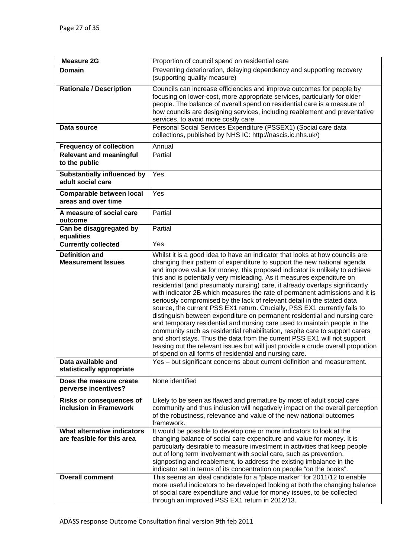| <b>Measure 2G</b>                                         | Proportion of council spend on residential care                                                                                                                                                                                                                                                                                                                                                                                                                                                                                                                                                                                                                                                                                                                                                                                                                                                                                                                                                                                                                                                              |
|-----------------------------------------------------------|--------------------------------------------------------------------------------------------------------------------------------------------------------------------------------------------------------------------------------------------------------------------------------------------------------------------------------------------------------------------------------------------------------------------------------------------------------------------------------------------------------------------------------------------------------------------------------------------------------------------------------------------------------------------------------------------------------------------------------------------------------------------------------------------------------------------------------------------------------------------------------------------------------------------------------------------------------------------------------------------------------------------------------------------------------------------------------------------------------------|
| <b>Domain</b>                                             | Preventing deterioration, delaying dependency and supporting recovery                                                                                                                                                                                                                                                                                                                                                                                                                                                                                                                                                                                                                                                                                                                                                                                                                                                                                                                                                                                                                                        |
|                                                           | (supporting quality measure)                                                                                                                                                                                                                                                                                                                                                                                                                                                                                                                                                                                                                                                                                                                                                                                                                                                                                                                                                                                                                                                                                 |
| <b>Rationale / Description</b>                            | Councils can increase efficiencies and improve outcomes for people by<br>focusing on lower-cost, more appropriate services, particularly for older<br>people. The balance of overall spend on residential care is a measure of<br>how councils are designing services, including reablement and preventative                                                                                                                                                                                                                                                                                                                                                                                                                                                                                                                                                                                                                                                                                                                                                                                                 |
|                                                           | services, to avoid more costly care.<br>Personal Social Services Expenditure (PSSEX1) (Social care data                                                                                                                                                                                                                                                                                                                                                                                                                                                                                                                                                                                                                                                                                                                                                                                                                                                                                                                                                                                                      |
| Data source                                               | collections, published by NHS IC: http://nascis.ic.nhs.uk/)                                                                                                                                                                                                                                                                                                                                                                                                                                                                                                                                                                                                                                                                                                                                                                                                                                                                                                                                                                                                                                                  |
| <b>Frequency of collection</b>                            | Annual                                                                                                                                                                                                                                                                                                                                                                                                                                                                                                                                                                                                                                                                                                                                                                                                                                                                                                                                                                                                                                                                                                       |
| <b>Relevant and meaningful</b>                            | Partial                                                                                                                                                                                                                                                                                                                                                                                                                                                                                                                                                                                                                                                                                                                                                                                                                                                                                                                                                                                                                                                                                                      |
| to the public                                             |                                                                                                                                                                                                                                                                                                                                                                                                                                                                                                                                                                                                                                                                                                                                                                                                                                                                                                                                                                                                                                                                                                              |
| <b>Substantially influenced by</b><br>adult social care   | Yes                                                                                                                                                                                                                                                                                                                                                                                                                                                                                                                                                                                                                                                                                                                                                                                                                                                                                                                                                                                                                                                                                                          |
| <b>Comparable between local</b><br>areas and over time    | Yes                                                                                                                                                                                                                                                                                                                                                                                                                                                                                                                                                                                                                                                                                                                                                                                                                                                                                                                                                                                                                                                                                                          |
| A measure of social care<br>outcome                       | Partial                                                                                                                                                                                                                                                                                                                                                                                                                                                                                                                                                                                                                                                                                                                                                                                                                                                                                                                                                                                                                                                                                                      |
| Can be disaggregated by<br>equalities                     | Partial                                                                                                                                                                                                                                                                                                                                                                                                                                                                                                                                                                                                                                                                                                                                                                                                                                                                                                                                                                                                                                                                                                      |
| <b>Currently collected</b>                                | Yes                                                                                                                                                                                                                                                                                                                                                                                                                                                                                                                                                                                                                                                                                                                                                                                                                                                                                                                                                                                                                                                                                                          |
| <b>Definition and</b><br><b>Measurement Issues</b>        | Whilst it is a good idea to have an indicator that looks at how councils are<br>changing their pattern of expenditure to support the new national agenda<br>and improve value for money, this proposed indicator is unlikely to achieve<br>this and is potentially very misleading. As it measures expenditure on<br>residential (and presumably nursing) care, it already overlaps significantly<br>with indicator 2B which measures the rate of permanent admissions and it is<br>seriously compromised by the lack of relevant detail in the stated data<br>source, the current PSS EX1 return. Crucially, PSS EX1 currently fails to<br>distinguish between expenditure on permanent residential and nursing care<br>and temporary residential and nursing care used to maintain people in the<br>community such as residential rehabilitation, respite care to support carers<br>and short stays. Thus the data from the current PSS EX1 will not support<br>teasing out the relevant issues but will just provide a crude overall proportion<br>of spend on all forms of residential and nursing care. |
| Data available and<br>statistically appropriate           | Yes – but significant concerns about current definition and measurement.                                                                                                                                                                                                                                                                                                                                                                                                                                                                                                                                                                                                                                                                                                                                                                                                                                                                                                                                                                                                                                     |
| Does the measure create<br>perverse incentives?           | None identified                                                                                                                                                                                                                                                                                                                                                                                                                                                                                                                                                                                                                                                                                                                                                                                                                                                                                                                                                                                                                                                                                              |
| <b>Risks or consequences of</b><br>inclusion in Framework | Likely to be seen as flawed and premature by most of adult social care<br>community and thus inclusion will negatively impact on the overall perception<br>of the robustness, relevance and value of the new national outcomes<br>framework.                                                                                                                                                                                                                                                                                                                                                                                                                                                                                                                                                                                                                                                                                                                                                                                                                                                                 |
| What alternative indicators<br>are feasible for this area | It would be possible to develop one or more indicators to look at the<br>changing balance of social care expenditure and value for money. It is<br>particularly desirable to measure investment in activities that keep people<br>out of long term involvement with social care, such as prevention,<br>signposting and reablement, to address the existing imbalance in the<br>indicator set in terms of its concentration on people "on the books".                                                                                                                                                                                                                                                                                                                                                                                                                                                                                                                                                                                                                                                        |
| <b>Overall comment</b>                                    | This seems an ideal candidate for a "place marker" for 2011/12 to enable<br>more useful indicators to be developed looking at both the changing balance<br>of social care expenditure and value for money issues, to be collected<br>through an improved PSS EX1 return in 2012/13.                                                                                                                                                                                                                                                                                                                                                                                                                                                                                                                                                                                                                                                                                                                                                                                                                          |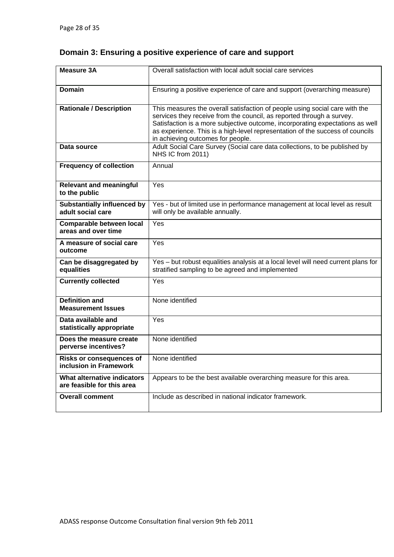# **Domain 3: Ensuring a positive experience of care and support**

| <b>Measure 3A</b>                                         | Overall satisfaction with local adult social care services                                                                                                                                                                                                                                                                                                  |
|-----------------------------------------------------------|-------------------------------------------------------------------------------------------------------------------------------------------------------------------------------------------------------------------------------------------------------------------------------------------------------------------------------------------------------------|
| <b>Domain</b>                                             | Ensuring a positive experience of care and support (overarching measure)                                                                                                                                                                                                                                                                                    |
| <b>Rationale / Description</b>                            | This measures the overall satisfaction of people using social care with the<br>services they receive from the council, as reported through a survey.<br>Satisfaction is a more subjective outcome, incorporating expectations as well<br>as experience. This is a high-level representation of the success of councils<br>in achieving outcomes for people. |
| Data source                                               | Adult Social Care Survey (Social care data collections, to be published by<br>NHS IC from 2011)                                                                                                                                                                                                                                                             |
| <b>Frequency of collection</b>                            | Annual                                                                                                                                                                                                                                                                                                                                                      |
| <b>Relevant and meaningful</b><br>to the public           | Yes                                                                                                                                                                                                                                                                                                                                                         |
| <b>Substantially influenced by</b><br>adult social care   | Yes - but of limited use in performance management at local level as result<br>will only be available annually.                                                                                                                                                                                                                                             |
| Comparable between local<br>areas and over time           | Yes                                                                                                                                                                                                                                                                                                                                                         |
| A measure of social care<br>outcome                       | Yes                                                                                                                                                                                                                                                                                                                                                         |
| Can be disaggregated by<br>equalities                     | Yes - but robust equalities analysis at a local level will need current plans for<br>stratified sampling to be agreed and implemented                                                                                                                                                                                                                       |
| <b>Currently collected</b>                                | Yes                                                                                                                                                                                                                                                                                                                                                         |
| <b>Definition and</b><br><b>Measurement Issues</b>        | None identified                                                                                                                                                                                                                                                                                                                                             |
| Data available and<br>statistically appropriate           | Yes                                                                                                                                                                                                                                                                                                                                                         |
| Does the measure create<br>perverse incentives?           | None identified                                                                                                                                                                                                                                                                                                                                             |
| Risks or consequences of<br>inclusion in Framework        | None identified                                                                                                                                                                                                                                                                                                                                             |
| What alternative indicators<br>are feasible for this area | Appears to be the best available overarching measure for this area.                                                                                                                                                                                                                                                                                         |
| <b>Overall comment</b>                                    | Include as described in national indicator framework.                                                                                                                                                                                                                                                                                                       |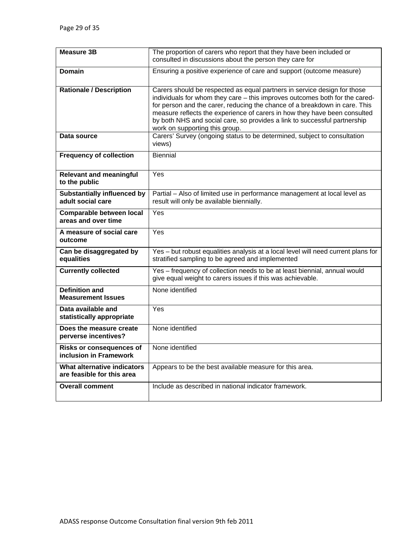| <b>Measure 3B</b>                                         | The proportion of carers who report that they have been included or<br>consulted in discussions about the person they care for                                                                                                                                                                                                                                                                                                    |
|-----------------------------------------------------------|-----------------------------------------------------------------------------------------------------------------------------------------------------------------------------------------------------------------------------------------------------------------------------------------------------------------------------------------------------------------------------------------------------------------------------------|
| <b>Domain</b>                                             | Ensuring a positive experience of care and support (outcome measure)                                                                                                                                                                                                                                                                                                                                                              |
| <b>Rationale / Description</b>                            | Carers should be respected as equal partners in service design for those<br>individuals for whom they care - this improves outcomes both for the cared-<br>for person and the carer, reducing the chance of a breakdown in care. This<br>measure reflects the experience of carers in how they have been consulted<br>by both NHS and social care, so provides a link to successful partnership<br>work on supporting this group. |
| Data source                                               | Carers' Survey (ongoing status to be determined, subject to consultation<br>views)                                                                                                                                                                                                                                                                                                                                                |
| <b>Frequency of collection</b>                            | <b>Biennial</b>                                                                                                                                                                                                                                                                                                                                                                                                                   |
| <b>Relevant and meaningful</b><br>to the public           | Yes                                                                                                                                                                                                                                                                                                                                                                                                                               |
| <b>Substantially influenced by</b><br>adult social care   | Partial - Also of limited use in performance management at local level as<br>result will only be available biennially.                                                                                                                                                                                                                                                                                                            |
| Comparable between local<br>areas and over time           | Yes                                                                                                                                                                                                                                                                                                                                                                                                                               |
| A measure of social care<br>outcome                       | Yes                                                                                                                                                                                                                                                                                                                                                                                                                               |
| Can be disaggregated by<br>equalities                     | Yes - but robust equalities analysis at a local level will need current plans for<br>stratified sampling to be agreed and implemented                                                                                                                                                                                                                                                                                             |
| <b>Currently collected</b>                                | Yes - frequency of collection needs to be at least biennial, annual would<br>give equal weight to carers issues if this was achievable.                                                                                                                                                                                                                                                                                           |
| <b>Definition and</b><br><b>Measurement Issues</b>        | None identified                                                                                                                                                                                                                                                                                                                                                                                                                   |
| Data available and<br>statistically appropriate           | Yes                                                                                                                                                                                                                                                                                                                                                                                                                               |
| Does the measure create<br>perverse incentives?           | None identified                                                                                                                                                                                                                                                                                                                                                                                                                   |
| <b>Risks or consequences of</b><br>inclusion in Framework | None identified                                                                                                                                                                                                                                                                                                                                                                                                                   |
| What alternative indicators<br>are feasible for this area | Appears to be the best available measure for this area.                                                                                                                                                                                                                                                                                                                                                                           |
| <b>Overall comment</b>                                    | Include as described in national indicator framework.                                                                                                                                                                                                                                                                                                                                                                             |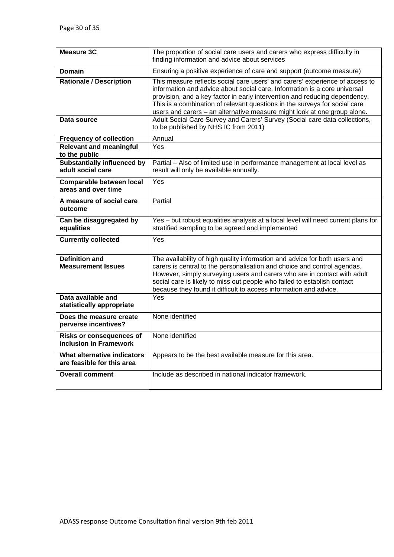| <b>Measure 3C</b>                                         | The proportion of social care users and carers who express difficulty in<br>finding information and advice about services                                                                                                                                                                                                                                                                         |
|-----------------------------------------------------------|---------------------------------------------------------------------------------------------------------------------------------------------------------------------------------------------------------------------------------------------------------------------------------------------------------------------------------------------------------------------------------------------------|
| Domain                                                    | Ensuring a positive experience of care and support (outcome measure)                                                                                                                                                                                                                                                                                                                              |
| <b>Rationale / Description</b>                            | This measure reflects social care users' and carers' experience of access to<br>information and advice about social care. Information is a core universal<br>provision, and a key factor in early intervention and reducing dependency.<br>This is a combination of relevant questions in the surveys for social care<br>users and carers - an alternative measure might look at one group alone. |
| Data source                                               | Adult Social Care Survey and Carers' Survey (Social care data collections,<br>to be published by NHS IC from 2011)                                                                                                                                                                                                                                                                                |
| <b>Frequency of collection</b>                            | Annual                                                                                                                                                                                                                                                                                                                                                                                            |
| <b>Relevant and meaningful</b><br>to the public           | Yes                                                                                                                                                                                                                                                                                                                                                                                               |
| <b>Substantially influenced by</b><br>adult social care   | Partial - Also of limited use in performance management at local level as<br>result will only be available annually.                                                                                                                                                                                                                                                                              |
| <b>Comparable between local</b><br>areas and over time    | Yes                                                                                                                                                                                                                                                                                                                                                                                               |
| A measure of social care<br>outcome                       | Partial                                                                                                                                                                                                                                                                                                                                                                                           |
| Can be disaggregated by<br>equalities                     | Yes - but robust equalities analysis at a local level will need current plans for<br>stratified sampling to be agreed and implemented                                                                                                                                                                                                                                                             |
| <b>Currently collected</b>                                | Yes                                                                                                                                                                                                                                                                                                                                                                                               |
| <b>Definition and</b><br><b>Measurement Issues</b>        | The availability of high quality information and advice for both users and<br>carers is central to the personalisation and choice and control agendas.<br>However, simply surveying users and carers who are in contact with adult<br>social care is likely to miss out people who failed to establish contact<br>because they found it difficult to access information and advice.               |
| Data available and<br>statistically appropriate           | Yes                                                                                                                                                                                                                                                                                                                                                                                               |
| Does the measure create<br>perverse incentives?           | None identified                                                                                                                                                                                                                                                                                                                                                                                   |
| <b>Risks or consequences of</b><br>inclusion in Framework | None identified                                                                                                                                                                                                                                                                                                                                                                                   |
| What alternative indicators<br>are feasible for this area | Appears to be the best available measure for this area.                                                                                                                                                                                                                                                                                                                                           |
| <b>Overall comment</b>                                    | Include as described in national indicator framework.                                                                                                                                                                                                                                                                                                                                             |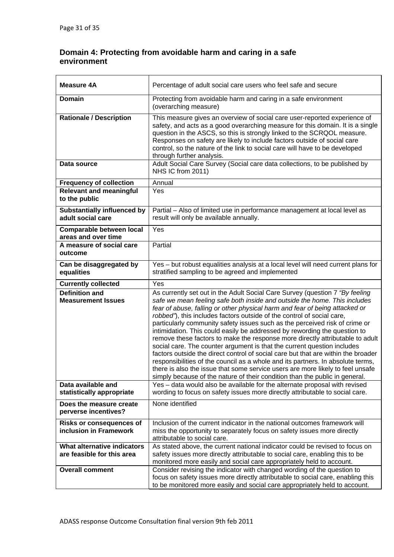# **Domain 4: Protecting from avoidable harm and caring in a safe environment**

| <b>Measure 4A</b>                                         | Percentage of adult social care users who feel safe and secure                                                                                                                                                                                                                                                                                                                                                                                                                                                                                                                                                                                                                                                                                                                                                                                                                                                                                                                      |
|-----------------------------------------------------------|-------------------------------------------------------------------------------------------------------------------------------------------------------------------------------------------------------------------------------------------------------------------------------------------------------------------------------------------------------------------------------------------------------------------------------------------------------------------------------------------------------------------------------------------------------------------------------------------------------------------------------------------------------------------------------------------------------------------------------------------------------------------------------------------------------------------------------------------------------------------------------------------------------------------------------------------------------------------------------------|
| <b>Domain</b>                                             | Protecting from avoidable harm and caring in a safe environment<br>(overarching measure)                                                                                                                                                                                                                                                                                                                                                                                                                                                                                                                                                                                                                                                                                                                                                                                                                                                                                            |
| <b>Rationale / Description</b>                            | This measure gives an overview of social care user-reported experience of<br>safety, and acts as a good overarching measure for this domain. It is a single<br>question in the ASCS, so this is strongly linked to the SCRQOL measure.<br>Responses on safety are likely to include factors outside of social care<br>control, so the nature of the link to social care will have to be developed<br>through further analysis.                                                                                                                                                                                                                                                                                                                                                                                                                                                                                                                                                      |
| Data source                                               | Adult Social Care Survey (Social care data collections, to be published by<br>NHS IC from 2011)                                                                                                                                                                                                                                                                                                                                                                                                                                                                                                                                                                                                                                                                                                                                                                                                                                                                                     |
| <b>Frequency of collection</b>                            | Annual                                                                                                                                                                                                                                                                                                                                                                                                                                                                                                                                                                                                                                                                                                                                                                                                                                                                                                                                                                              |
| <b>Relevant and meaningful</b><br>to the public           | Yes                                                                                                                                                                                                                                                                                                                                                                                                                                                                                                                                                                                                                                                                                                                                                                                                                                                                                                                                                                                 |
| <b>Substantially influenced by</b><br>adult social care   | Partial - Also of limited use in performance management at local level as<br>result will only be available annually.                                                                                                                                                                                                                                                                                                                                                                                                                                                                                                                                                                                                                                                                                                                                                                                                                                                                |
| Comparable between local<br>areas and over time           | Yes                                                                                                                                                                                                                                                                                                                                                                                                                                                                                                                                                                                                                                                                                                                                                                                                                                                                                                                                                                                 |
| A measure of social care<br>outcome                       | Partial                                                                                                                                                                                                                                                                                                                                                                                                                                                                                                                                                                                                                                                                                                                                                                                                                                                                                                                                                                             |
| Can be disaggregated by<br>equalities                     | Yes - but robust equalities analysis at a local level will need current plans for<br>stratified sampling to be agreed and implemented                                                                                                                                                                                                                                                                                                                                                                                                                                                                                                                                                                                                                                                                                                                                                                                                                                               |
| <b>Currently collected</b>                                | Yes                                                                                                                                                                                                                                                                                                                                                                                                                                                                                                                                                                                                                                                                                                                                                                                                                                                                                                                                                                                 |
| <b>Definition and</b><br><b>Measurement Issues</b>        | As currently set out in the Adult Social Care Survey (question 7 "By feeling<br>safe we mean feeling safe both inside and outside the home. This includes<br>fear of abuse, falling or other physical harm and fear of being attacked or<br>robbed"), this includes factors outside of the control of social care,<br>particularly community safety issues such as the perceived risk of crime or<br>intimidation. This could easily be addressed by rewording the question to<br>remove these factors to make the response more directly attributable to adult<br>social care. The counter argument is that the current question includes<br>factors outside the direct control of social care but that are within the broader<br>responsibilities of the council as a whole and its partners. In absolute terms,<br>there is also the issue that some service users are more likely to feel unsafe<br>simply because of the nature of their condition than the public in general. |
| Data available and<br>statistically appropriate           | Yes - data would also be available for the alternate proposal with revised<br>wording to focus on safety issues more directly attributable to social care.                                                                                                                                                                                                                                                                                                                                                                                                                                                                                                                                                                                                                                                                                                                                                                                                                          |
| Does the measure create<br>perverse incentives?           | None identified                                                                                                                                                                                                                                                                                                                                                                                                                                                                                                                                                                                                                                                                                                                                                                                                                                                                                                                                                                     |
| <b>Risks or consequences of</b><br>inclusion in Framework | Inclusion of the current indicator in the national outcomes framework will<br>miss the opportunity to separately focus on safety issues more directly<br>attributable to social care.                                                                                                                                                                                                                                                                                                                                                                                                                                                                                                                                                                                                                                                                                                                                                                                               |
| What alternative indicators<br>are feasible for this area | As stated above, the current national indicator could be revised to focus on<br>safety issues more directly attributable to social care, enabling this to be<br>monitored more easily and social care appropriately held to account.                                                                                                                                                                                                                                                                                                                                                                                                                                                                                                                                                                                                                                                                                                                                                |
| <b>Overall comment</b>                                    | Consider revising the indicator with changed wording of the question to<br>focus on safety issues more directly attributable to social care, enabling this<br>to be monitored more easily and social care appropriately held to account.                                                                                                                                                                                                                                                                                                                                                                                                                                                                                                                                                                                                                                                                                                                                            |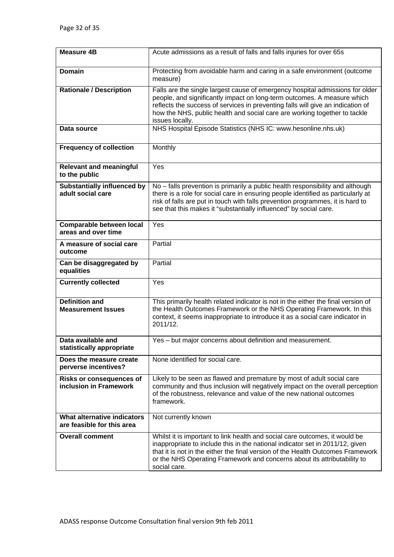| <b>Measure 4B</b>                                         | Acute admissions as a result of falls and falls injuries for over 65s                                                                                                                                                                                                                                                                       |
|-----------------------------------------------------------|---------------------------------------------------------------------------------------------------------------------------------------------------------------------------------------------------------------------------------------------------------------------------------------------------------------------------------------------|
| <b>Domain</b>                                             | Protecting from avoidable harm and caring in a safe environment (outcome<br>measure)                                                                                                                                                                                                                                                        |
| <b>Rationale / Description</b>                            | Falls are the single largest cause of emergency hospital admissions for older<br>people, and significantly impact on long-term outcomes. A measure which<br>reflects the success of services in preventing falls will give an indication of<br>how the NHS, public health and social care are working together to tackle<br>issues locally. |
| Data source                                               | NHS Hospital Episode Statistics (NHS IC: www.hesonline.nhs.uk)                                                                                                                                                                                                                                                                              |
| <b>Frequency of collection</b>                            | Monthly                                                                                                                                                                                                                                                                                                                                     |
| <b>Relevant and meaningful</b><br>to the public           | Yes                                                                                                                                                                                                                                                                                                                                         |
| <b>Substantially influenced by</b><br>adult social care   | No - falls prevention is primarily a public health responsibility and although<br>there is a role for social care in ensuring people identified as particularly at<br>risk of falls are put in touch with falls prevention programmes, it is hard to<br>see that this makes it "substantially influenced" by social care.                   |
| <b>Comparable between local</b><br>areas and over time    | Yes                                                                                                                                                                                                                                                                                                                                         |
| A measure of social care<br>outcome                       | Partial                                                                                                                                                                                                                                                                                                                                     |
| Can be disaggregated by<br>equalities                     | Partial                                                                                                                                                                                                                                                                                                                                     |
| <b>Currently collected</b>                                | Yes                                                                                                                                                                                                                                                                                                                                         |
| <b>Definition and</b><br><b>Measurement Issues</b>        | This primarily health related indicator is not in the either the final version of<br>the Health Outcomes Framework or the NHS Operating Framework. In this<br>context, it seems inappropriate to introduce it as a social care indicator in<br>2011/12.                                                                                     |
| Data available and<br>statistically appropriate           | Yes – but major concerns about definition and measurement.                                                                                                                                                                                                                                                                                  |
| Does the measure create<br>perverse incentives?           | None identified for social care.                                                                                                                                                                                                                                                                                                            |
| <b>Risks or consequences of</b><br>inclusion in Framework | Likely to be seen as flawed and premature by most of adult social care<br>community and thus inclusion will negatively impact on the overall perception<br>of the robustness, relevance and value of the new national outcomes<br>framework.                                                                                                |
| What alternative indicators<br>are feasible for this area | Not currently known                                                                                                                                                                                                                                                                                                                         |
| <b>Overall comment</b>                                    | Whilst it is important to link health and social care outcomes, it would be<br>inappropriate to include this in the national indicator set in 2011/12, given<br>that it is not in the either the final version of the Health Outcomes Framework<br>or the NHS Operating Framework and concerns about its attributability to<br>social care. |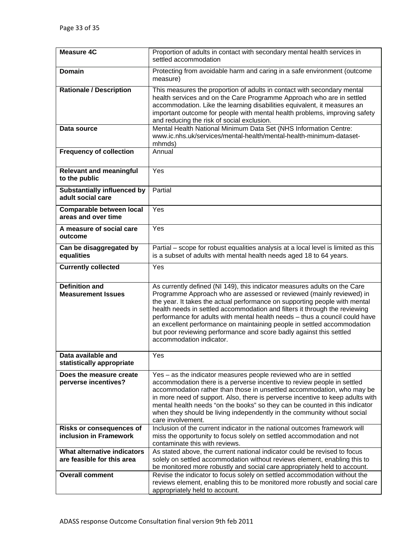| <b>Measure 4C</b>                     | Proportion of adults in contact with secondary mental health services in                                                                                  |
|---------------------------------------|-----------------------------------------------------------------------------------------------------------------------------------------------------------|
|                                       | settled accommodation                                                                                                                                     |
| <b>Domain</b>                         | Protecting from avoidable harm and caring in a safe environment (outcome                                                                                  |
|                                       | measure)                                                                                                                                                  |
|                                       |                                                                                                                                                           |
| <b>Rationale / Description</b>        | This measures the proportion of adults in contact with secondary mental                                                                                   |
|                                       | health services and on the Care Programme Approach who are in settled<br>accommodation. Like the learning disabilities equivalent, it measures an         |
|                                       | important outcome for people with mental health problems, improving safety                                                                                |
|                                       | and reducing the risk of social exclusion.                                                                                                                |
| Data source                           | Mental Health National Minimum Data Set (NHS Information Centre:                                                                                          |
|                                       | www.ic.nhs.uk/services/mental-health/mental-health-minimum-dataset-                                                                                       |
|                                       | mhmds)                                                                                                                                                    |
| <b>Frequency of collection</b>        | Annual                                                                                                                                                    |
|                                       |                                                                                                                                                           |
| <b>Relevant and meaningful</b>        | Yes                                                                                                                                                       |
| to the public                         |                                                                                                                                                           |
| <b>Substantially influenced by</b>    | Partial                                                                                                                                                   |
| adult social care                     |                                                                                                                                                           |
| <b>Comparable between local</b>       | Yes                                                                                                                                                       |
| areas and over time                   |                                                                                                                                                           |
| A measure of social care              | Yes                                                                                                                                                       |
| outcome                               |                                                                                                                                                           |
|                                       |                                                                                                                                                           |
| Can be disaggregated by<br>equalities | Partial – scope for robust equalities analysis at a local level is limited as this<br>is a subset of adults with mental health needs aged 18 to 64 years. |
|                                       |                                                                                                                                                           |
| <b>Currently collected</b>            | Yes                                                                                                                                                       |
|                                       |                                                                                                                                                           |
| <b>Definition and</b>                 | As currently defined (NI 149), this indicator measures adults on the Care                                                                                 |
| <b>Measurement Issues</b>             | Programme Approach who are assessed or reviewed (mainly reviewed) in<br>the year. It takes the actual performance on supporting people with mental        |
|                                       | health needs in settled accommodation and filters it through the reviewing                                                                                |
|                                       | performance for adults with mental health needs - thus a council could have                                                                               |
|                                       | an excellent performance on maintaining people in settled accommodation                                                                                   |
|                                       | but poor reviewing performance and score badly against this settled                                                                                       |
|                                       | accommodation indicator.                                                                                                                                  |
| Data available and                    | Yes                                                                                                                                                       |
| statistically appropriate             |                                                                                                                                                           |
| Does the measure create               | Yes – as the indicator measures people reviewed who are in settled                                                                                        |
| perverse incentives?                  | accommodation there is a perverse incentive to review people in settled                                                                                   |
|                                       | accommodation rather than those in unsettled accommodation, who may be                                                                                    |
|                                       | in more need of support. Also, there is perverse incentive to keep adults with                                                                            |
|                                       | mental health needs "on the books" so they can be counted in this indicator                                                                               |
|                                       | when they should be living independently in the community without social<br>care involvement.                                                             |
| <b>Risks or consequences of</b>       | Inclusion of the current indicator in the national outcomes framework will                                                                                |
| inclusion in Framework                | miss the opportunity to focus solely on settled accommodation and not                                                                                     |
|                                       | contaminate this with reviews.                                                                                                                            |
| What alternative indicators           | As stated above, the current national indicator could be revised to focus                                                                                 |
| are feasible for this area            | solely on settled accommodation without reviews element, enabling this to                                                                                 |
| <b>Overall comment</b>                | be monitored more robustly and social care appropriately held to account.                                                                                 |
|                                       | Revise the indicator to focus solely on settled accommodation without the<br>reviews element, enabling this to be monitored more robustly and social care |
|                                       | appropriately held to account.                                                                                                                            |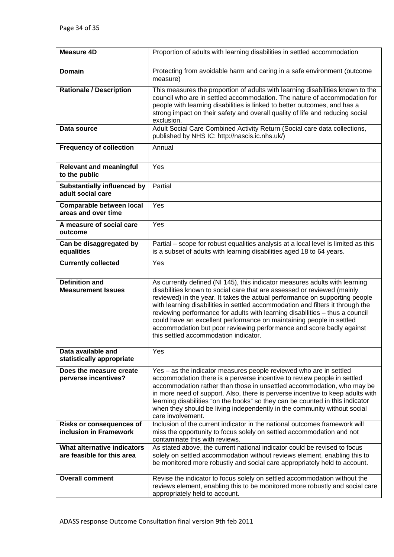| <b>Measure 4D</b>                                         | Proportion of adults with learning disabilities in settled accommodation                                                                                                                                                                                                                                                                                                                                                                                                                                                                                                                         |
|-----------------------------------------------------------|--------------------------------------------------------------------------------------------------------------------------------------------------------------------------------------------------------------------------------------------------------------------------------------------------------------------------------------------------------------------------------------------------------------------------------------------------------------------------------------------------------------------------------------------------------------------------------------------------|
| <b>Domain</b>                                             | Protecting from avoidable harm and caring in a safe environment (outcome<br>measure)                                                                                                                                                                                                                                                                                                                                                                                                                                                                                                             |
| <b>Rationale / Description</b>                            | This measures the proportion of adults with learning disabilities known to the<br>council who are in settled accommodation. The nature of accommodation for<br>people with learning disabilities is linked to better outcomes, and has a<br>strong impact on their safety and overall quality of life and reducing social<br>exclusion.                                                                                                                                                                                                                                                          |
| Data source                                               | Adult Social Care Combined Activity Return (Social care data collections,<br>published by NHS IC: http://nascis.ic.nhs.uk/)                                                                                                                                                                                                                                                                                                                                                                                                                                                                      |
| <b>Frequency of collection</b>                            | Annual                                                                                                                                                                                                                                                                                                                                                                                                                                                                                                                                                                                           |
| <b>Relevant and meaningful</b><br>to the public           | Yes                                                                                                                                                                                                                                                                                                                                                                                                                                                                                                                                                                                              |
| <b>Substantially influenced by</b><br>adult social care   | Partial                                                                                                                                                                                                                                                                                                                                                                                                                                                                                                                                                                                          |
| <b>Comparable between local</b><br>areas and over time    | Yes                                                                                                                                                                                                                                                                                                                                                                                                                                                                                                                                                                                              |
| A measure of social care<br>outcome                       | Yes                                                                                                                                                                                                                                                                                                                                                                                                                                                                                                                                                                                              |
| Can be disaggregated by<br>equalities                     | Partial - scope for robust equalities analysis at a local level is limited as this<br>is a subset of adults with learning disabilities aged 18 to 64 years.                                                                                                                                                                                                                                                                                                                                                                                                                                      |
| <b>Currently collected</b>                                | Yes                                                                                                                                                                                                                                                                                                                                                                                                                                                                                                                                                                                              |
| <b>Definition and</b><br><b>Measurement Issues</b>        | As currently defined (NI 145), this indicator measures adults with learning<br>disabilities known to social care that are assessed or reviewed (mainly<br>reviewed) in the year. It takes the actual performance on supporting people<br>with learning disabilities in settled accommodation and filters it through the<br>reviewing performance for adults with learning disabilities - thus a council<br>could have an excellent performance on maintaining people in settled<br>accommodation but poor reviewing performance and score badly against<br>this settled accommodation indicator. |
| Data available and<br>statistically appropriate           | Yes                                                                                                                                                                                                                                                                                                                                                                                                                                                                                                                                                                                              |
| Does the measure create<br>perverse incentives?           | Yes – as the indicator measures people reviewed who are in settled<br>accommodation there is a perverse incentive to review people in settled<br>accommodation rather than those in unsettled accommodation, who may be<br>in more need of support. Also, there is perverse incentive to keep adults with<br>learning disabilities "on the books" so they can be counted in this indicator<br>when they should be living independently in the community without social<br>care involvement.                                                                                                      |
| <b>Risks or consequences of</b><br>inclusion in Framework | Inclusion of the current indicator in the national outcomes framework will<br>miss the opportunity to focus solely on settled accommodation and not                                                                                                                                                                                                                                                                                                                                                                                                                                              |
|                                                           | contaminate this with reviews.                                                                                                                                                                                                                                                                                                                                                                                                                                                                                                                                                                   |
| What alternative indicators<br>are feasible for this area | As stated above, the current national indicator could be revised to focus<br>solely on settled accommodation without reviews element, enabling this to<br>be monitored more robustly and social care appropriately held to account.                                                                                                                                                                                                                                                                                                                                                              |
| <b>Overall comment</b>                                    | Revise the indicator to focus solely on settled accommodation without the<br>reviews element, enabling this to be monitored more robustly and social care<br>appropriately held to account.                                                                                                                                                                                                                                                                                                                                                                                                      |